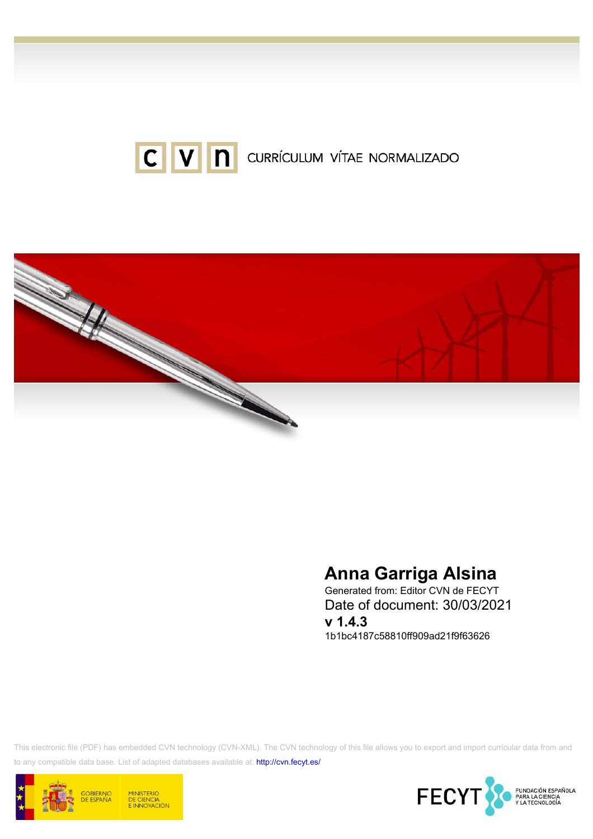



# Anna Garriga Alsina

Generated from: Editor CVN de FECYT Date of document: 30/03/2021 v 1.4.3 1b1bc4187c58810ff909ad21f9f63626

This electronic file (PDF) has embedded CVN technology (CVN-XML). The CVN technology of this file allows you to export and import curricular data from and to any compatible data base. List of adapted databases available at:<http://cvn.fecyt.es/>



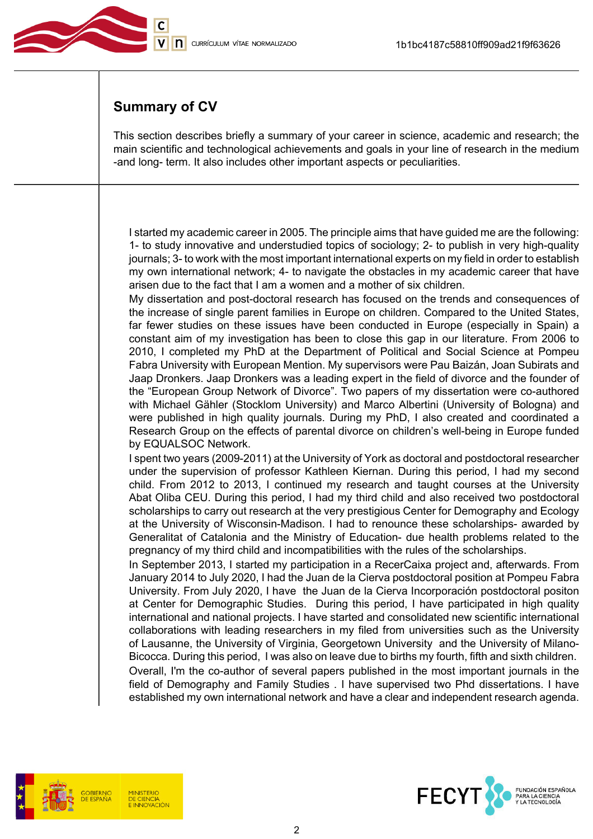

## Summary of CV

This section describes briefly a summary of your career in science, academic and research; the main scientific and technological achievements and goals in your line of research in the medium -and long- term. It also includes other important aspects or peculiarities.

I started my academic career in 2005. The principle aims that have guided me are the following: 1- to study innovative and understudied topics of sociology; 2- to publish in very high-quality journals; 3- to work with the most important international experts on my field in order to establish my own international network; 4- to navigate the obstacles in my academic career that have arisen due to the fact that I am a women and a mother of six children.

My dissertation and post-doctoral research has focused on the trends and consequences of the increase of single parent families in Europe on children. Compared to the United States, far fewer studies on these issues have been conducted in Europe (especially in Spain) a constant aim of my investigation has been to close this gap in our literature. From 2006 to 2010, I completed my PhD at the Department of Political and Social Science at Pompeu Fabra University with European Mention. My supervisors were Pau Baizán, Joan Subirats and Jaap Dronkers. Jaap Dronkers was a leading expert in the field of divorce and the founder of the "European Group Network of Divorce". Two papers of my dissertation were co-authored with Michael Gähler (Stocklom University) and Marco Albertini (University of Bologna) and were published in high quality journals. During my PhD, I also created and coordinated a Research Group on the effects of parental divorce on children's well-being in Europe funded by EQUALSOC Network.

I spent two years (2009-2011) at the University of York as doctoral and postdoctoral researcher under the supervision of professor Kathleen Kiernan. During this period, I had my second child. From 2012 to 2013, I continued my research and taught courses at the University Abat Oliba CEU. During this period, I had my third child and also received two postdoctoral scholarships to carry out research at the very prestigious Center for Demography and Ecology at the University of Wisconsin-Madison. I had to renounce these scholarships- awarded by Generalitat of Catalonia and the Ministry of Education- due health problems related to the pregnancy of my third child and incompatibilities with the rules of the scholarships.

In September 2013, I started my participation in a RecerCaixa project and, afterwards. From January 2014 to July 2020, I had the Juan de la Cierva postdoctoral position at Pompeu Fabra University. From July 2020, I have the Juan de la Cierva Incorporación postdoctoral positon at Center for Demographic Studies. During this period, I have participated in high quality international and national projects. I have started and consolidated new scientific international collaborations with leading researchers in my filed from universities such as the University of Lausanne, the University of Virginia, Georgetown University and the University of Milano-Bicocca. During this period, I was also on leave due to births my fourth, fifth and sixth children. Overall, I'm the co-author of several papers published in the most important journals in the

field of Demography and Family Studies . I have supervised two Phd dissertations. I have established my own international network and have a clear and independent research agenda.



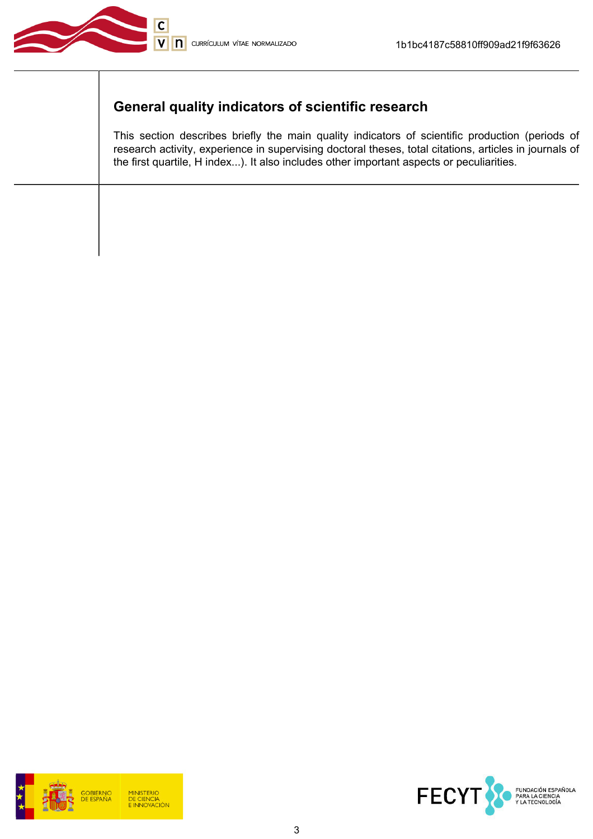

# General quality indicators of scientific research

This section describes briefly the main quality indicators of scientific production (periods of research activity, experience in supervising doctoral theses, total citations, articles in journals of the first quartile, H index...). It also includes other important aspects or peculiarities.



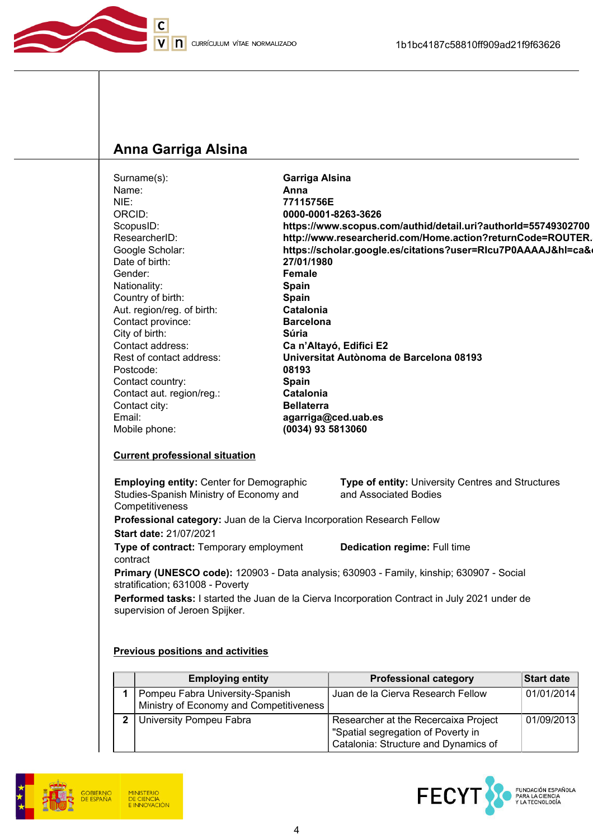

## Anna Garriga Alsina

| Surname(s):                | <b>Garriga Alsina</b>                                         |
|----------------------------|---------------------------------------------------------------|
| Name:                      | Anna                                                          |
| NIE:                       | 77115756E                                                     |
| ORCID:                     | 0000-0001-8263-3626                                           |
| ScopusID:                  | https://www.scopus.com/authid/detail.uri?authorId=55749302700 |
| ResearcherID:              | http://www.researcherid.com/Home.action?returnCode=ROUTER.    |
| Google Scholar:            | https://scholar.google.es/citations?user=RIcu7P0AAAAJ&hl=ca&  |
| Date of birth:             | 27/01/1980                                                    |
| Gender:                    | Female                                                        |
| Nationality:               | <b>Spain</b>                                                  |
| Country of birth:          | <b>Spain</b>                                                  |
| Aut. region/reg. of birth: | Catalonia                                                     |
| Contact province:          | <b>Barcelona</b>                                              |
| City of birth:             | Súria                                                         |
| Contact address:           | Ca n'Altayó, Edifici E2                                       |
| Rest of contact address:   | Universitat Autònoma de Barcelona 08193                       |
| Postcode:                  | 08193                                                         |
| Contact country:           | <b>Spain</b>                                                  |
| Contact aut. region/reg.:  | Catalonia                                                     |
| Contact city:              | <b>Bellaterra</b>                                             |
| Email:                     | agarriga@ced.uab.es                                           |
| Mobile phone:              | (0034) 93 5813060                                             |
|                            |                                                               |

#### Current professional situation

Employing entity: Center for Demographic Studies-Spanish Ministry of Economy and **Competitiveness** Type of entity: University Centres and Structures and Associated Bodies

Professional category: Juan de la Cierva Incorporation Research Fellow Start date: 21/07/2021

Type of contract: Temporary employment contract

Dedication regime: Full time

Primary (UNESCO code): 120903 - Data analysis; 630903 - Family, kinship; 630907 - Social stratification; 631008 - Poverty

Performed tasks: I started the Juan de la Cierva Incorporation Contract in July 2021 under de supervision of Jeroen Spijker.

#### Previous positions and activities

| <b>Employing entity</b>                                                    | <b>Professional category</b>                                                                                       | <b>Start date</b> |
|----------------------------------------------------------------------------|--------------------------------------------------------------------------------------------------------------------|-------------------|
| Pompeu Fabra University-Spanish<br>Ministry of Economy and Competitiveness | Juan de la Cierva Research Fellow                                                                                  | 01/01/2014        |
| University Pompeu Fabra                                                    | Researcher at the Recercaixa Project<br>"Spatial segregation of Poverty in<br>Catalonia: Structure and Dynamics of | 01/09/2013        |



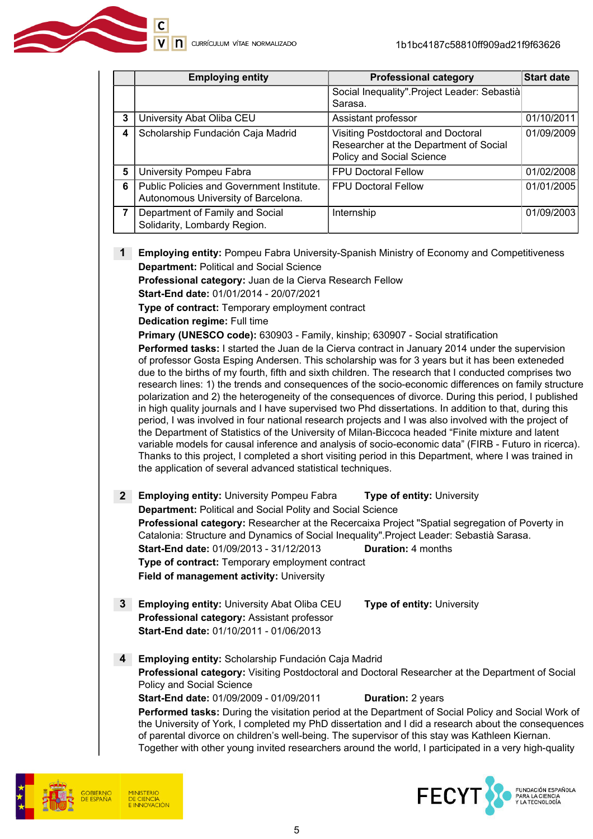|   | <b>Employing entity</b>                                                          | <b>Professional category</b>                                                                                     | <b>Start date</b> |
|---|----------------------------------------------------------------------------------|------------------------------------------------------------------------------------------------------------------|-------------------|
|   |                                                                                  | Social Inequality". Project Leader: Sebastià<br>Sarasa.                                                          |                   |
| 3 | University Abat Oliba CEU                                                        | Assistant professor                                                                                              | 01/10/2011        |
| 4 | Scholarship Fundación Caja Madrid                                                | <b>Visiting Postdoctoral and Doctoral</b><br>Researcher at the Department of Social<br>Policy and Social Science | 01/09/2009        |
| 5 | University Pompeu Fabra                                                          | <b>FPU Doctoral Fellow</b>                                                                                       | 01/02/2008        |
| 6 | Public Policies and Government Institute.<br>Autonomous University of Barcelona. | <b>FPU Doctoral Fellow</b>                                                                                       | 01/01/2005        |
| 7 | Department of Family and Social<br>Solidarity, Lombardy Region.                  | Internship                                                                                                       | 01/09/2003        |

1 Employing entity: Pompeu Fabra University-Spanish Ministry of Economy and Competitiveness Department: Political and Social Science

Professional category: Juan de la Cierva Research Fellow

Start-End date: 01/01/2014 - 20/07/2021

Type of contract: Temporary employment contract

Dedication regime: Full time

Primary (UNESCO code): 630903 - Family, kinship; 630907 - Social stratification

Performed tasks: I started the Juan de la Cierva contract in January 2014 under the supervision of professor Gosta Esping Andersen. This scholarship was for 3 years but it has been exteneded due to the births of my fourth, fifth and sixth children. The research that I conducted comprises two research lines: 1) the trends and consequences of the socio-economic differences on family structure polarization and 2) the heterogeneity of the consequences of divorce. During this period, I published in high quality journals and I have supervised two Phd dissertations. In addition to that, during this period, I was involved in four national research projects and I was also involved with the project of the Department of Statistics of the University of Milan-Biccoca headed "Finite mixture and latent variable models for causal inference and analysis of socio-economic data" (FIRB - Futuro in ricerca). Thanks to this project, I completed a short visiting period in this Department, where I was trained in the application of several advanced statistical techniques.

- 2 Employing entity: University Pompeu Fabra Type of entity: University Department: Political and Social Polity and Social Science Professional category: Researcher at the Recercaixa Project "Spatial segregation of Poverty in Catalonia: Structure and Dynamics of Social Inequality".Project Leader: Sebastià Sarasa. Start-End date: 01/09/2013 - 31/12/2013 Duration: 4 months Type of contract: Temporary employment contract Field of management activity: University
- 3 Employing entity: University Abat Oliba CEU Type of entity: University Professional category: Assistant professor Start-End date: 01/10/2011 - 01/06/2013
- 4 Employing entity: Scholarship Fundación Caja Madrid Professional category: Visiting Postdoctoral and Doctoral Researcher at the Department of Social Policy and Social Science Start-End date: 01/09/2009 - 01/09/2011 Duration: 2 years Performed tasks: During the visitation period at the Department of Social Policy and Social Work of the University of York, I completed my PhD dissertation and I did a research about the consequences of parental divorce on children's well-being. The supervisor of this stay was Kathleen Kiernan.

Together with other young invited researchers around the world, I participated in a very high-quality



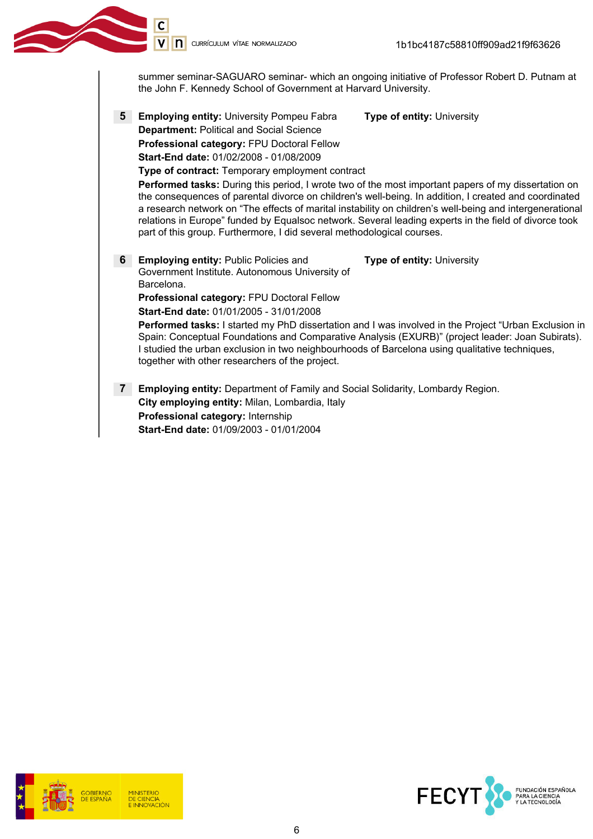summer seminar-SAGUARO seminar- which an ongoing initiative of Professor Robert D. Putnam at the John F. Kennedy School of Government at Harvard University.

5 Employing entity: University Pompeu Fabra Type of entity: University Department: Political and Social Science Professional category: FPU Doctoral Fellow Start-End date: 01/02/2008 - 01/08/2009

part of this group. Furthermore, I did several methodological courses.

Type of contract: Temporary employment contract Performed tasks: During this period, I wrote two of the most important papers of my dissertation on the consequences of parental divorce on children's well-being. In addition, I created and coordinated a research network on "The effects of marital instability on children's well-being and intergenerational relations in Europe" funded by Equalsoc network. Several leading experts in the field of divorce took

6 Employing entity: Public Policies and Government Institute. Autonomous University of Barcelona.

Professional category: FPU Doctoral Fellow

Start-End date: 01/01/2005 - 31/01/2008

Performed tasks: I started my PhD dissertation and I was involved in the Project "Urban Exclusion in Spain: Conceptual Foundations and Comparative Analysis (EXURB)" (project leader: Joan Subirats). I studied the urban exclusion in two neighbourhoods of Barcelona using qualitative techniques, together with other researchers of the project.

Type of entity: University

**7** Employing entity: Department of Family and Social Solidarity, Lombardy Region. City employing entity: Milan, Lombardia, Italy Professional category: Internship Start-End date: 01/09/2003 - 01/01/2004



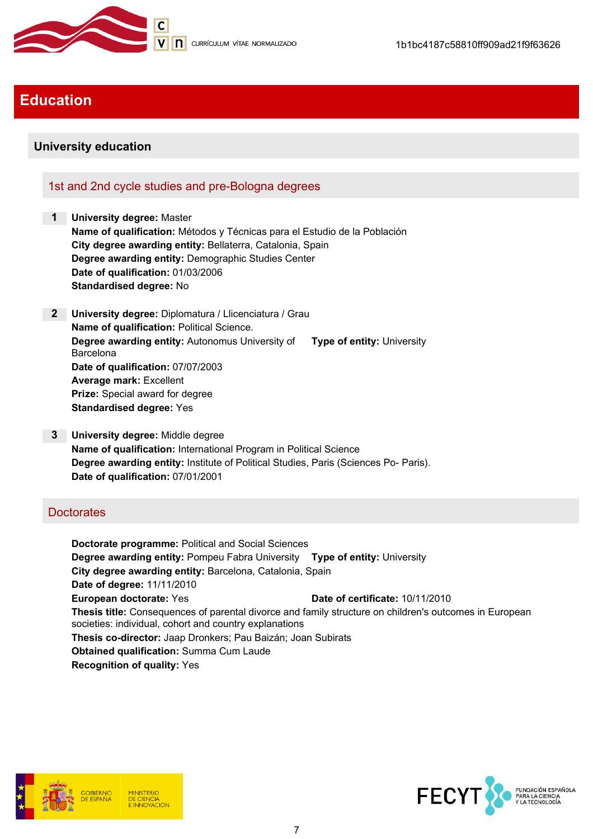

## Education

#### University education

#### 1st and 2nd cycle studies and pre-Bologna degrees

1 University degree: Master Name of qualification: Métodos y Técnicas para el Estudio de la Población City degree awarding entity: Bellaterra, Catalonia, Spain Degree awarding entity: Demographic Studies Center Date of qualification: 01/03/2006 Standardised degree: No

- 2 University degree: Diplomatura / Llicenciatura / Grau Name of qualification: Political Science. Degree awarding entity: Autonomus University of Type of entity: University Barcelona Date of qualification: 07/07/2003 Average mark: Excellent Prize: Special award for degree Standardised degree: Yes
- 3 University degree: Middle degree Name of qualification: International Program in Political Science Degree awarding entity: Institute of Political Studies, Paris (Sciences Po- Paris). Date of qualification: 07/01/2001

#### **Doctorates**

Doctorate programme: Political and Social Sciences Degree awarding entity: Pompeu Fabra University Type of entity: University City degree awarding entity: Barcelona, Catalonia, Spain Date of degree: 11/11/2010 European doctorate: Yes **Date of certificate:** 10/11/2010 Thesis title: Consequences of parental divorce and family structure on children's outcomes in European societies: individual, cohort and country explanations Thesis co-director: Jaap Dronkers; Pau Baizán; Joan Subirats Obtained qualification: Summa Cum Laude Recognition of quality: Yes



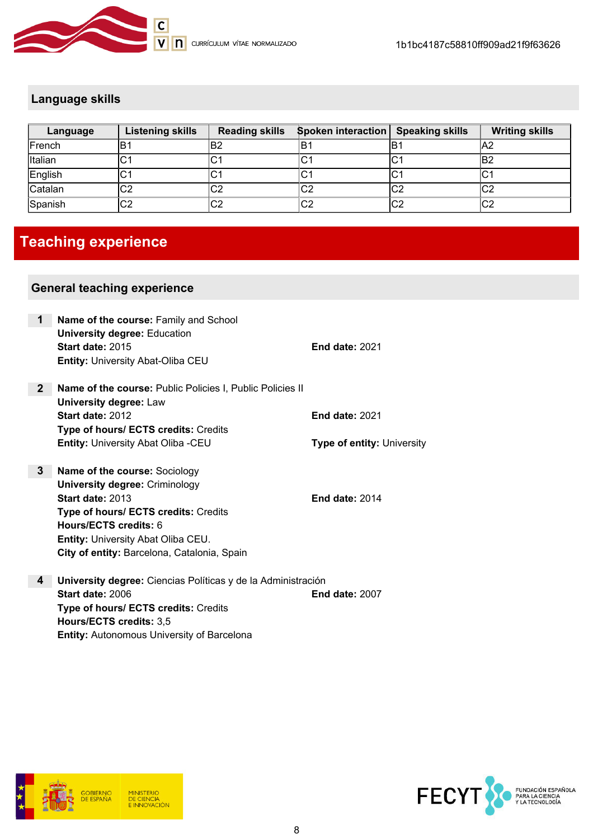

### Language skills

| Language | <b>Listening skills</b> | <b>Reading skills</b> | <b>Spoken interaction Speaking skills</b> |     | <b>Writing skills</b> |
|----------|-------------------------|-----------------------|-------------------------------------------|-----|-----------------------|
| French   | ΙB′                     | B2                    | lB1                                       | ΙB. | A2                    |
| Italian  | C1                      | U                     | IC1                                       | ∣C∙ | lB2                   |
| English  | C1                      | ⌒.<br>◡               | IC1                                       | ∣C∙ | ۱C٠                   |
| Catalan  | C2                      | C <sub>2</sub>        | C2                                        | ∣C2 | lC2                   |
| Spanish  | C2                      | C <sub>2</sub>        | C <sub>2</sub>                            | lC2 | C2                    |

# Teaching experience

#### General teaching experience

| 1              | Name of the course: Family and School<br><b>University degree: Education</b>               |                                   |
|----------------|--------------------------------------------------------------------------------------------|-----------------------------------|
|                | Start date: 2015<br><b>Entity: University Abat-Oliba CEU</b>                               | <b>End date: 2021</b>             |
| 2 <sup>1</sup> | Name of the course: Public Policies I, Public Policies II<br><b>University degree: Law</b> |                                   |
|                | Start date: 2012                                                                           | <b>End date: 2021</b>             |
|                | Type of hours/ ECTS credits: Credits                                                       |                                   |
|                | <b>Entity: University Abat Oliba -CEU</b>                                                  | <b>Type of entity: University</b> |
|                |                                                                                            |                                   |
| 3              | Name of the course: Sociology                                                              |                                   |
|                | <b>University degree: Criminology</b>                                                      |                                   |
|                | Start date: 2013                                                                           | <b>End date: 2014</b>             |
|                | Type of hours/ ECTS credits: Credits                                                       |                                   |
|                | Hours/ECTS credits: 6                                                                      |                                   |
|                | <b>Entity: University Abat Oliba CEU.</b>                                                  |                                   |
|                | City of entity: Barcelona, Catalonia, Spain                                                |                                   |
| 4              | University degree: Ciencias Políticas y de la Administración                               |                                   |
|                | Start date: 2006                                                                           | <b>End date: 2007</b>             |
|                | Type of hours/ ECTS credits: Credits                                                       |                                   |
|                | Hours/ECTS credits: 3,5                                                                    |                                   |



Entity: Autonomous University of Barcelona

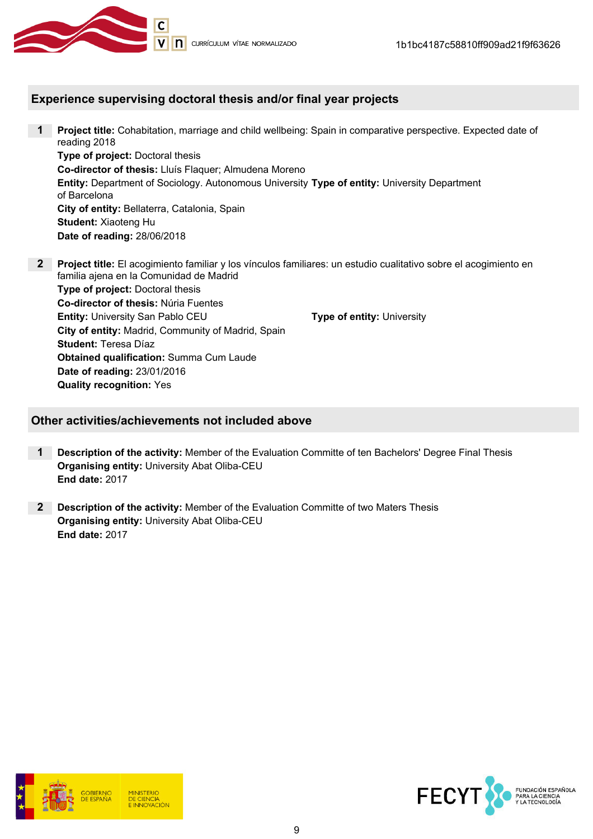

#### Experience supervising doctoral thesis and/or final year projects

- 1 Project title: Cohabitation, marriage and child wellbeing: Spain in comparative perspective. Expected date of reading 2018 Type of project: Doctoral thesis Co-director of thesis: Lluís Flaquer; Almudena Moreno **Entity:** Department of Sociology. Autonomous University Type of entity: University Department of Barcelona City of entity: Bellaterra, Catalonia, Spain Student: Xiaoteng Hu Date of reading: 28/06/2018
- 2 Project title: El acogimiento familiar y los vínculos familiares: un estudio cualitativo sobre el acogimiento en familia ajena en la Comunidad de Madrid Type of project: Doctoral thesis Co-director of thesis: Núria Fuentes **Entity:** University San Pablo CEU Type of entity: University City of entity: Madrid, Community of Madrid, Spain Student: Teresa Díaz Obtained qualification: Summa Cum Laude Date of reading: 23/01/2016 Quality recognition: Yes

#### Other activities/achievements not included above

- 1 Description of the activity: Member of the Evaluation Committe of ten Bachelors' Degree Final Thesis Organising entity: University Abat Oliba-CEU End date: 2017
- 2 Description of the activity: Member of the Evaluation Committe of two Maters Thesis Organising entity: University Abat Oliba-CEU End date: 2017



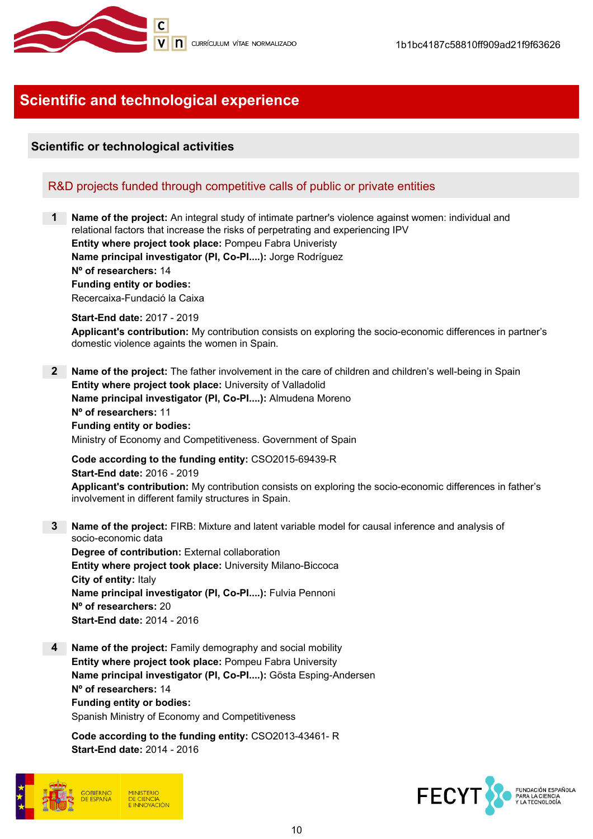

# Scientific and technological experience

#### Scientific or technological activities

#### R&D projects funded through competitive calls of public or private entities

**Name of the project:** An integral study of intimate partner's violence against women: individual and relational factors that increase the risks of perpetrating and experiencing IPV Entity where project took place: Pompeu Fabra Univeristy Name principal investigator (PI, Co-PI....): Jorge Rodríguez Nº of researchers: 14 Funding entity or bodies: Recercaixa-Fundació la Caixa Start-End date: 2017 - 2019 Applicant's contribution: My contribution consists on exploring the socio-economic differences in partner's domestic violence againts the women in Spain. 2 Name of the project: The father involvement in the care of children and children's well-being in Spain Entity where project took place: University of Valladolid Name principal investigator (PI, Co-PI....): Almudena Moreno Nº of researchers: 11 Funding entity or bodies: Ministry of Economy and Competitiveness. Government of Spain Code according to the funding entity: CSO2015-69439-R Start-End date: 2016 - 2019 Applicant's contribution: My contribution consists on exploring the socio-economic differences in father's involvement in different family structures in Spain. 3 Name of the project: FIRB: Mixture and latent variable model for causal inference and analysis of socio-economic data Degree of contribution: External collaboration Entity where project took place: University Milano-Biccoca City of entity: Italy Name principal investigator (PI, Co-PI....): Fulvia Pennoni Nº of researchers: 20

Start-End date: 2014 - 2016

4 Name of the project: Family demography and social mobility Entity where project took place: Pompeu Fabra University Name principal investigator (PI, Co-PI....): Gösta Esping-Andersen Nº of researchers: 14 Funding entity or bodies: Spanish Ministry of Economy and Competitiveness

Code according to the funding entity: CSO2013-43461- R Start-End date: 2014 - 2016



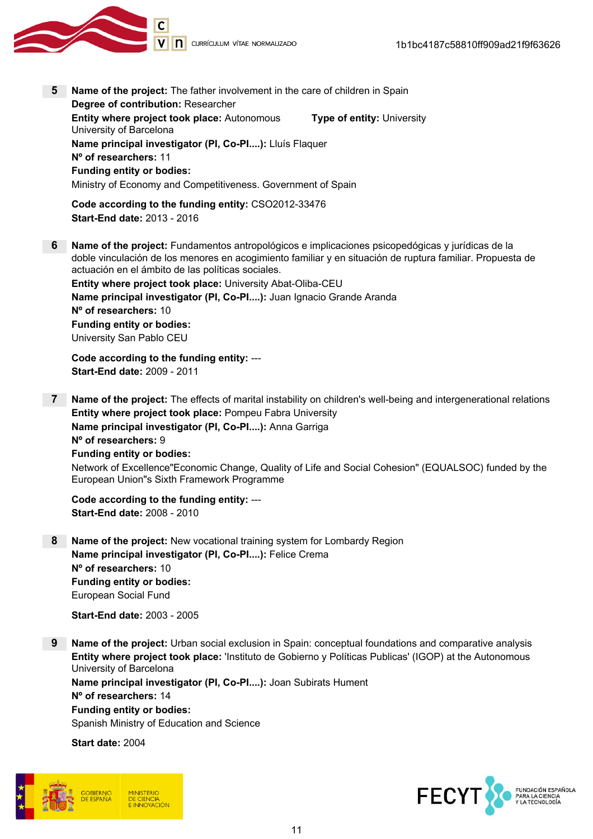

- 5 Name of the project: The father involvement in the care of children in Spain Degree of contribution: Researcher Entity where project took place: Autonomous University of Barcelona Type of entity: University Name principal investigator (PI, Co-PI....): Lluís Flaquer Nº of researchers: 11 Funding entity or bodies: Ministry of Economy and Competitiveness. Government of Spain Code according to the funding entity: CSO2012-33476 Start-End date: 2013 - 2016 6 Name of the project: Fundamentos antropológicos e implicaciones psicopedógicas y jurídicas de la
- doble vinculación de los menores en acogimiento familiar y en situación de ruptura familiar. Propuesta de actuación en el ámbito de las políticas sociales. Entity where project took place: University Abat-Oliba-CEU Name principal investigator (PI, Co-PI....): Juan Ignacio Grande Aranda Nº of researchers: 10

Funding entity or bodies: University San Pablo CEU

Code according to the funding entity: --- Start-End date: 2009 - 2011

7 Name of the project: The effects of marital instability on children's well-being and intergenerational relations Entity where project took place: Pompeu Fabra University Name principal investigator (PI, Co-PI....): Anna Garriga Nº of researchers: 9 Funding entity or bodies: Network of Excellence"Economic Change, Quality of Life and Social Cohesion" (EQUALSOC) funded by the European Union"s Sixth Framework Programme

Code according to the funding entity: --- Start-End date: 2008 - 2010

8 Name of the project: New vocational training system for Lombardy Region Name principal investigator (PI, Co-PI....): Felice Crema Nº of researchers: 10 Funding entity or bodies: European Social Fund

Start-End date: 2003 - 2005

9 Name of the project: Urban social exclusion in Spain: conceptual foundations and comparative analysis Entity where project took place: 'Instituto de Gobierno y Políticas Publicas' (IGOP) at the Autonomous University of Barcelona Name principal investigator (PI, Co-PI....): Joan Subirats Hument Nº of researchers: 14 Funding entity or bodies: Spanish Ministry of Education and Science

Start date: 2004



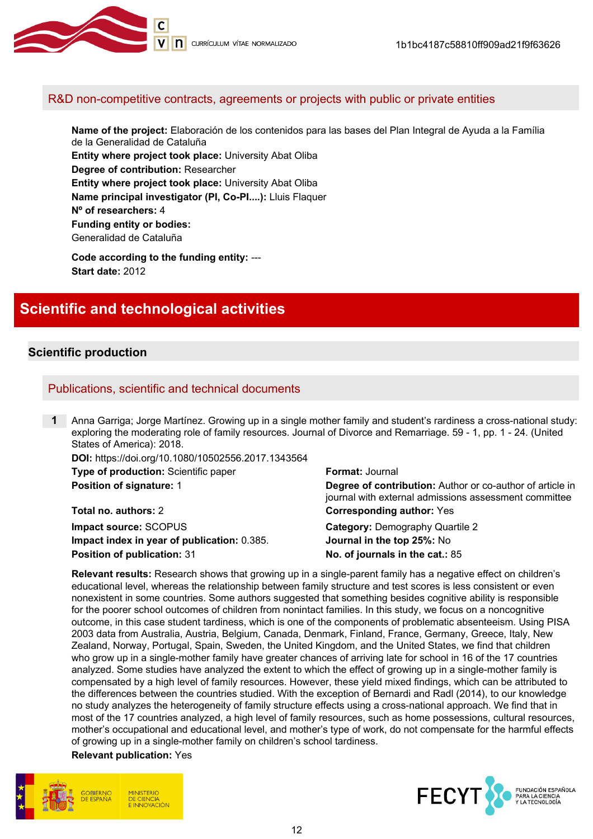

#### R&D non-competitive contracts, agreements or projects with public or private entities

Name of the project: Elaboración de los contenidos para las bases del Plan Integral de Ayuda a la Família de la Generalidad de Cataluña Entity where project took place: University Abat Oliba Degree of contribution: Researcher Entity where project took place: University Abat Oliba Name principal investigator (PI, Co-PI....): Lluis Flaquer Nº of researchers: 4 Funding entity or bodies: Generalidad de Cataluña

Code according to the funding entity: --- Start date: 2012

## Scientific and technological activities

#### Scientific production

#### Publications, scientific and technical documents

1 Anna Garriga; Jorge Martínez. Growing up in a single mother family and student's rardiness a cross-national study: exploring the moderating role of family resources. Journal of Divorce and Remarriage. 59 - 1, pp. 1 - 24. (United States of America): 2018.

DOI: https://doi.org/10.1080/10502556.2017.1343564 **Type of production:** Scientific paper Format: Journal

Total no. authors: 2 Corresponding author: Yes **Impact source: SCOPUS Category: Demography Quartile 2** Impact index in year of publication: 0.385. Journal in the top 25%: No Position of publication: 31 No. of journals in the cat.: 85

**Position of signature: 1 Degree of contribution:** Author or co-author of article in journal with external admissions assessment committee

Relevant results: Research shows that growing up in a single-parent family has a negative effect on children's educational level, whereas the relationship between family structure and test scores is less consistent or even nonexistent in some countries. Some authors suggested that something besides cognitive ability is responsible for the poorer school outcomes of children from nonintact families. In this study, we focus on a noncognitive outcome, in this case student tardiness, which is one of the components of problematic absenteeism. Using PISA 2003 data from Australia, Austria, Belgium, Canada, Denmark, Finland, France, Germany, Greece, Italy, New Zealand, Norway, Portugal, Spain, Sweden, the United Kingdom, and the United States, we find that children who grow up in a single-mother family have greater chances of arriving late for school in 16 of the 17 countries analyzed. Some studies have analyzed the extent to which the effect of growing up in a single-mother family is compensated by a high level of family resources. However, these yield mixed findings, which can be attributed to the differences between the countries studied. With the exception of Bernardi and Radl (2014), to our knowledge no study analyzes the heterogeneity of family structure effects using a cross-national approach. We find that in most of the 17 countries analyzed, a high level of family resources, such as home possessions, cultural resources, mother's occupational and educational level, and mother's type of work, do not compensate for the harmful effects of growing up in a single-mother family on children's school tardiness.

Relevant publication: Yes



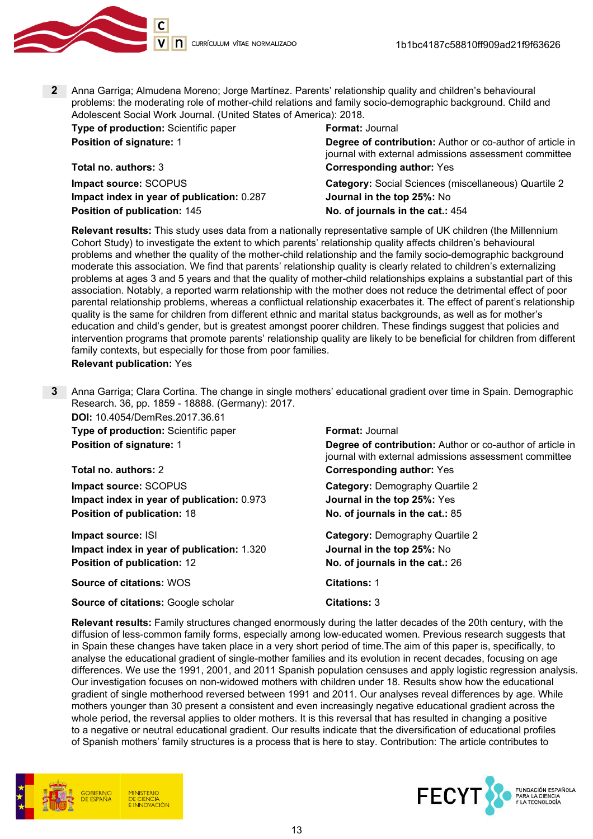

2 Anna Garriga; Almudena Moreno; Jorge Martínez. Parents' relationship quality and children's behavioural problems: the moderating role of mother-child relations and family socio-demographic background. Child and Adolescent Social Work Journal. (United States of America): 2018.

**Type of production:** Scientific paper Format: Journal

Total no. authors: 3 Corresponding author: Yes Impact index in year of publication: 0.287 Journal in the top 25%: No Position of publication: 145 No. of journals in the cat.: 454

**Position of signature: 1 Degree of contribution:** Author or co-author of article in journal with external admissions assessment committee

**Impact source:** SCOPUS Category: Social Sciences (miscellaneous) Quartile 2

Relevant results: This study uses data from a nationally representative sample of UK children (the Millennium Cohort Study) to investigate the extent to which parents' relationship quality affects children's behavioural problems and whether the quality of the mother-child relationship and the family socio-demographic background moderate this association. We find that parents' relationship quality is clearly related to children's externalizing problems at ages 3 and 5 years and that the quality of mother-child relationships explains a substantial part of this association. Notably, a reported warm relationship with the mother does not reduce the detrimental effect of poor parental relationship problems, whereas a conflictual relationship exacerbates it. The effect of parent's relationship quality is the same for children from different ethnic and marital status backgrounds, as well as for mother's education and child's gender, but is greatest amongst poorer children. These findings suggest that policies and intervention programs that promote parents' relationship quality are likely to be beneficial for children from different family contexts, but especially for those from poor families.

#### Relevant publication: Yes

3 Anna Garriga; Clara Cortina. The change in single mothers' educational gradient over time in Spain. Demographic Research. 36, pp. 1859 - 18888. (Germany): 2017.

DOI: 10.4054/DemRes.2017.36.61 **Type of production:** Scientific paper Format: Journal

Total no. authors: 2 Corresponding author: Yes Impact source: SCOPUS Category: Demography Quartile 2 Impact index in year of publication: 0.973 Journal in the top 25%: Yes **Position of publication: 18** No. of journals in the cat.: 85

**Impact source: ISI** Category: Demography Quartile 2 Impact index in year of publication: 1.320 Journal in the top 25%: No Position of publication: 12 No. of journals in the cat.: 26

Source of citations: WOS Citations: 1

Source of citations: Google scholar Citations: 3

**Position of signature: 1 Degree of contribution:** Author or co-author of article in journal with external admissions assessment committee

Relevant results: Family structures changed enormously during the latter decades of the 20th century, with the diffusion of less-common family forms, especially among low-educated women. Previous research suggests that in Spain these changes have taken place in a very short period of time.The aim of this paper is, specifically, to analyse the educational gradient of single-mother families and its evolution in recent decades, focusing on age differences. We use the 1991, 2001, and 2011 Spanish population censuses and apply logistic regression analysis. Our investigation focuses on non-widowed mothers with children under 18. Results show how the educational gradient of single motherhood reversed between 1991 and 2011. Our analyses reveal differences by age. While mothers younger than 30 present a consistent and even increasingly negative educational gradient across the whole period, the reversal applies to older mothers. It is this reversal that has resulted in changing a positive to a negative or neutral educational gradient. Our results indicate that the diversification of educational profiles of Spanish mothers' family structures is a process that is here to stay. Contribution: The article contributes to



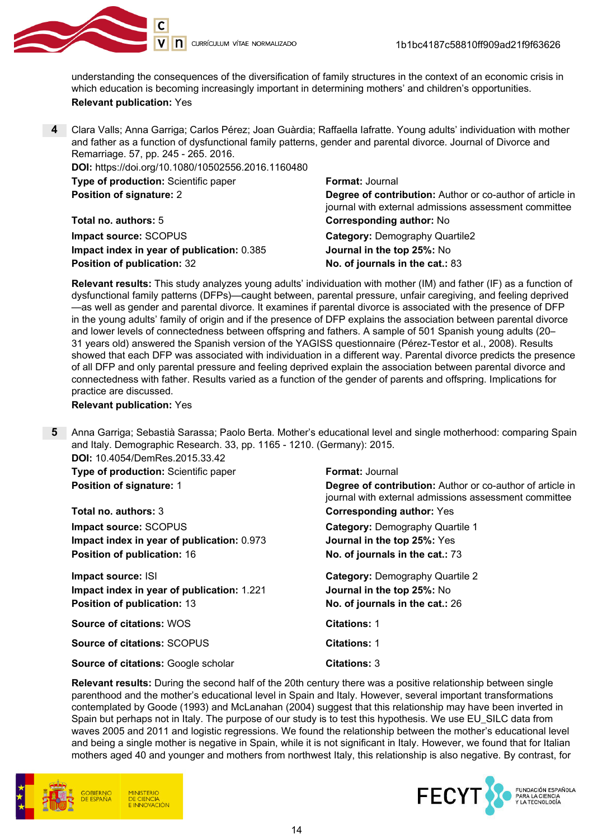

understanding the consequences of the diversification of family structures in the context of an economic crisis in which education is becoming increasingly important in determining mothers' and children's opportunities. Relevant publication: Yes

4 Clara Valls; Anna Garriga; Carlos Pérez; Joan Guàrdia; Raffaella Iafratte. Young adults' individuation with mother and father as a function of dysfunctional family patterns, gender and parental divorce. Journal of Divorce and Remarriage. 57, pp. 245 - 265. 2016.

| <b>DOI:</b> https://doi.org/10.1080/10502556.2016.1160480 |                                                                                                                    |
|-----------------------------------------------------------|--------------------------------------------------------------------------------------------------------------------|
| <b>Type of production: Scientific paper</b>               | <b>Format: Journal</b>                                                                                             |
| <b>Position of signature: 2</b>                           | Degree of contribution: Author or co-author of article in<br>journal with external admissions assessment committee |
| <b>Total no. authors: 5</b>                               | <b>Corresponding author: No</b>                                                                                    |
| Impact source: SCOPUS                                     | <b>Category: Demography Quartile2</b>                                                                              |
| Impact index in year of publication: 0.385                | Journal in the top 25%: No                                                                                         |
| Position of publication: 32                               | No. of journals in the cat.: 83                                                                                    |

Relevant results: This study analyzes young adults' individuation with mother (IM) and father (IF) as a function of dysfunctional family patterns (DFPs)—caught between, parental pressure, unfair caregiving, and feeling deprived —as well as gender and parental divorce. It examines if parental divorce is associated with the presence of DFP in the young adults' family of origin and if the presence of DFP explains the association between parental divorce and lower levels of connectedness between offspring and fathers. A sample of 501 Spanish young adults (20– 31 years old) answered the Spanish version of the YAGISS questionnaire (Pérez-Testor et al., 2008). Results showed that each DFP was associated with individuation in a different way. Parental divorce predicts the presence of all DFP and only parental pressure and feeling deprived explain the association between parental divorce and connectedness with father. Results varied as a function of the gender of parents and offspring. Implications for practice are discussed.

#### Relevant publication: Yes

5 Anna Garriga; Sebastià Sarassa; Paolo Berta. Mother's educational level and single motherhood: comparing Spain and Italy. Demographic Research. 33, pp. 1165 - 1210. (Germany): 2015.

DOI: 10.4054/DemRes.2015.33.42 **Type of production:** Scientific paper Format: Journal **Position of signature: 1 Degree of contribution:** Author or co-author of article in journal with external admissions assessment committee Total no. authors: 3 Corresponding author: Yes **Impact source: SCOPUS Category: Demography Quartile 1** Impact index in year of publication: 0.973 Journal in the top 25%: Yes Position of publication: 16 No. of journals in the cat.: 73 **Impact source: ISI** Category: Demography Quartile 2 Impact index in year of publication: 1.221 Journal in the top 25%: No Position of publication: 13 No. of journals in the cat.: 26 Source of citations: WOS Contract Citations: 1 Source of citations: SCOPUS Citations: 1 Source of citations: Google scholar Citations: 3

Relevant results: During the second half of the 20th century there was a positive relationship between single parenthood and the mother's educational level in Spain and Italy. However, several important transformations contemplated by Goode (1993) and McLanahan (2004) suggest that this relationship may have been inverted in Spain but perhaps not in Italy. The purpose of our study is to test this hypothesis. We use EU\_SILC data from waves 2005 and 2011 and logistic regressions. We found the relationship between the mother's educational level and being a single mother is negative in Spain, while it is not significant in Italy. However, we found that for Italian mothers aged 40 and younger and mothers from northwest Italy, this relationship is also negative. By contrast, for



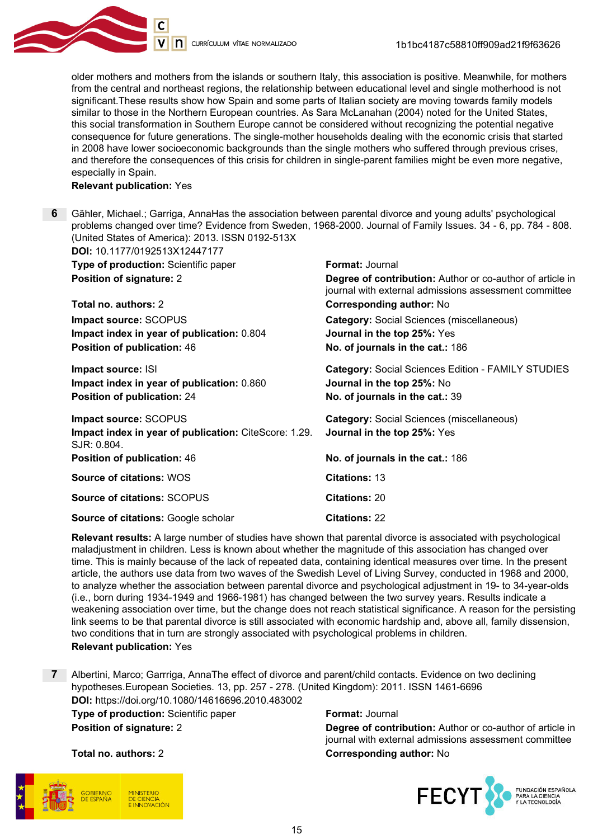

older mothers and mothers from the islands or southern Italy, this association is positive. Meanwhile, for mothers from the central and northeast regions, the relationship between educational level and single motherhood is not significant.These results show how Spain and some parts of Italian society are moving towards family models similar to those in the Northern European countries. As Sara McLanahan (2004) noted for the United States, this social transformation in Southern Europe cannot be considered without recognizing the potential negative consequence for future generations. The single-mother households dealing with the economic crisis that started in 2008 have lower socioeconomic backgrounds than the single mothers who suffered through previous crises, and therefore the consequences of this crisis for children in single-parent families might be even more negative, especially in Spain.

Relevant publication: Yes

6 Gähler, Michael.; Garriga, AnnaHas the association between parental divorce and young adults' psychological problems changed over time? Evidence from Sweden, 1968-2000. Journal of Family Issues. 34 - 6, pp. 784 - 808. (United States of America): 2013. ISSN 0192-513X DOI: 10.1177/0192513X12447177

| <u>וו ודדם וטגעונטאטונווויט וו</u>                                                                     |                                                                                                                                                     |
|--------------------------------------------------------------------------------------------------------|-----------------------------------------------------------------------------------------------------------------------------------------------------|
| Type of production: Scientific paper<br><b>Position of signature: 2</b>                                | <b>Format: Journal</b><br><b>Degree of contribution:</b> Author or co-author of article in<br>journal with external admissions assessment committee |
| Total no. authors: 2                                                                                   | <b>Corresponding author: No</b>                                                                                                                     |
| Impact source: SCOPUS<br>Impact index in year of publication: 0.804<br>Position of publication: 46     | <b>Category: Social Sciences (miscellaneous)</b><br>Journal in the top 25%: Yes<br>No. of journals in the cat.: 186                                 |
| Impact source: ISI<br>Impact index in year of publication: 0.860<br><b>Position of publication: 24</b> | <b>Category: Social Sciences Edition - FAMILY STUDIES</b><br>Journal in the top 25%: No<br>No. of journals in the cat.: 39                          |
| Impact source: SCOPUS<br>Impact index in year of publication: CiteScore: 1.29.<br>SJR: 0.804.          | <b>Category: Social Sciences (miscellaneous)</b><br>Journal in the top 25%: Yes                                                                     |
| <b>Position of publication: 46</b>                                                                     | No. of journals in the cat.: 186                                                                                                                    |
| <b>Source of citations: WOS</b>                                                                        | <b>Citations: 13</b>                                                                                                                                |
| <b>Source of citations: SCOPUS</b>                                                                     | <b>Citations: 20</b>                                                                                                                                |
| <b>Source of citations: Google scholar</b>                                                             | <b>Citations: 22</b>                                                                                                                                |

Relevant results: A large number of studies have shown that parental divorce is associated with psychological maladjustment in children. Less is known about whether the magnitude of this association has changed over time. This is mainly because of the lack of repeated data, containing identical measures over time. In the present article, the authors use data from two waves of the Swedish Level of Living Survey, conducted in 1968 and 2000, to analyze whether the association between parental divorce and psychological adjustment in 19- to 34-year-olds (i.e., born during 1934-1949 and 1966-1981) has changed between the two survey years. Results indicate a weakening association over time, but the change does not reach statistical significance. A reason for the persisting link seems to be that parental divorce is still associated with economic hardship and, above all, family dissension, two conditions that in turn are strongly associated with psychological problems in children. Relevant publication: Yes

7 Albertini, Marco; Garrriga, AnnaThe effect of divorce and parent/child contacts. Evidence on two declining hypotheses.European Societies. 13, pp. 257 - 278. (United Kingdom): 2011. ISSN 1461-6696 DOI: https://doi.org/10.1080/14616696.2010.483002 **Type of production:** Scientific paper Format: Journal **Position of signature: 2** Degree of contribution: Author or co-author of article in

journal with external admissions assessment committee Total no. authors: 2 Corresponding author: No





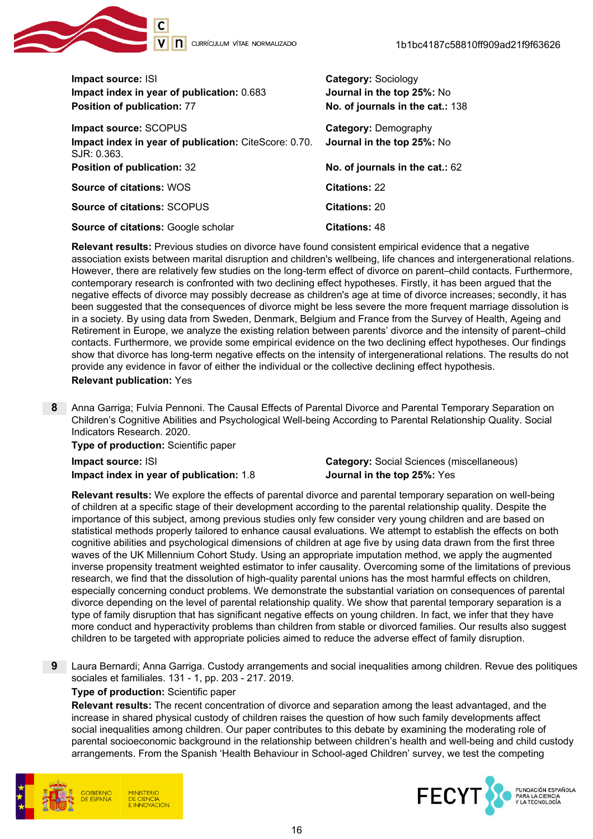

| Impact source: ISI<br>Impact index in year of publication: 0.683<br>Position of publication: 77 | <b>Category: Sociology</b><br>Journal in the top 25%: No<br>No. of journals in the cat.: 138 |
|-------------------------------------------------------------------------------------------------|----------------------------------------------------------------------------------------------|
| Impact source: SCOPUS<br>Impact index in year of publication: CiteScore: 0.70.<br>SJR: 0.363.   | <b>Category: Demography</b><br>Journal in the top 25%: No                                    |
| <b>Position of publication: 32</b>                                                              | No. of journals in the cat.: 62                                                              |
| <b>Source of citations: WOS</b>                                                                 | <b>Citations: 22</b>                                                                         |
| <b>Source of citations: SCOPUS</b>                                                              | <b>Citations: 20</b>                                                                         |
| <b>Source of citations: Google scholar</b>                                                      | <b>Citations: 48</b>                                                                         |

Relevant results: Previous studies on divorce have found consistent empirical evidence that a negative association exists between marital disruption and children's wellbeing, life chances and intergenerational relations. However, there are relatively few studies on the long-term effect of divorce on parent–child contacts. Furthermore, contemporary research is confronted with two declining effect hypotheses. Firstly, it has been argued that the negative effects of divorce may possibly decrease as children's age at time of divorce increases; secondly, it has been suggested that the consequences of divorce might be less severe the more frequent marriage dissolution is in a society. By using data from Sweden, Denmark, Belgium and France from the Survey of Health, Ageing and Retirement in Europe, we analyze the existing relation between parents' divorce and the intensity of parent–child contacts. Furthermore, we provide some empirical evidence on the two declining effect hypotheses. Our findings show that divorce has long-term negative effects on the intensity of intergenerational relations. The results do not provide any evidence in favor of either the individual or the collective declining effect hypothesis. Relevant publication: Yes

8 Anna Garriga; Fulvia Pennoni. The Causal Effects of Parental Divorce and Parental Temporary Separation on Children's Cognitive Abilities and Psychological Well-being According to Parental Relationship Quality. Social Indicators Research. 2020.

Type of production: Scientific paper

Impact index in year of publication: 1.8 Journal in the top 25%: Yes

Impact source: ISI Category: Social Sciences (miscellaneous)

Relevant results: We explore the effects of parental divorce and parental temporary separation on well-being of children at a specific stage of their development according to the parental relationship quality. Despite the importance of this subject, among previous studies only few consider very young children and are based on statistical methods properly tailored to enhance causal evaluations. We attempt to establish the effects on both cognitive abilities and psychological dimensions of children at age five by using data drawn from the first three waves of the UK Millennium Cohort Study. Using an appropriate imputation method, we apply the augmented inverse propensity treatment weighted estimator to infer causality. Overcoming some of the limitations of previous research, we find that the dissolution of high-quality parental unions has the most harmful effects on children, especially concerning conduct problems. We demonstrate the substantial variation on consequences of parental divorce depending on the level of parental relationship quality. We show that parental temporary separation is a type of family disruption that has significant negative effects on young children. In fact, we infer that they have more conduct and hyperactivity problems than children from stable or divorced families. Our results also suggest children to be targeted with appropriate policies aimed to reduce the adverse effect of family disruption.

9 Laura Bernardi; Anna Garriga. Custody arrangements and social inequalities among children. Revue des politiques sociales et familiales. 131 - 1, pp. 203 - 217. 2019.

#### Type of production: Scientific paper

Relevant results: The recent concentration of divorce and separation among the least advantaged, and the increase in shared physical custody of children raises the question of how such family developments affect social inequalities among children. Our paper contributes to this debate by examining the moderating role of parental socioeconomic background in the relationship between children's health and well-being and child custody arrangements. From the Spanish 'Health Behaviour in School-aged Children' survey, we test the competing



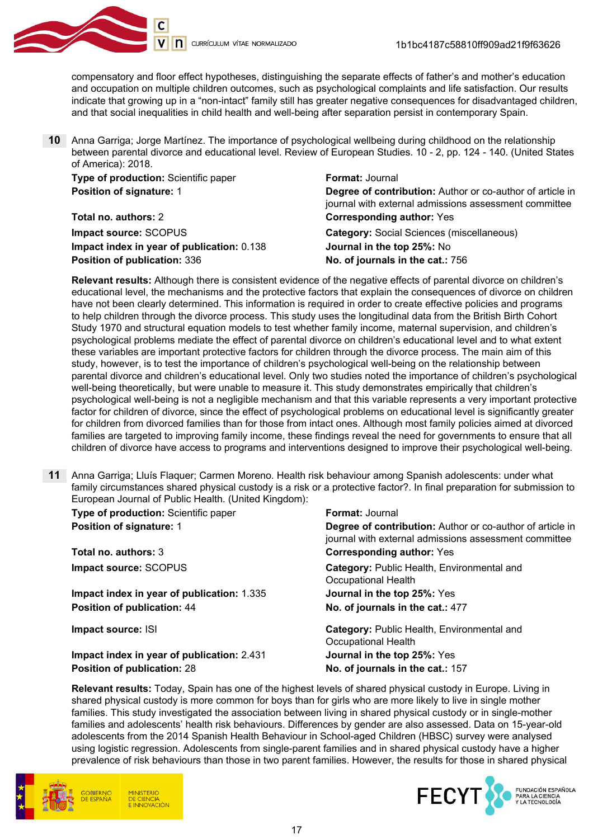

compensatory and floor effect hypotheses, distinguishing the separate effects of father's and mother's education and occupation on multiple children outcomes, such as psychological complaints and life satisfaction. Our results indicate that growing up in a "non-intact" family still has greater negative consequences for disadvantaged children, and that social inequalities in child health and well-being after separation persist in contemporary Spain.

10 Anna Garriga; Jorge Martínez. The importance of psychological wellbeing during childhood on the relationship between parental divorce and educational level. Review of European Studies. 10 - 2, pp. 124 - 140. (United States of America): 2018.

| Type of production: Scientific paper       | <b>Format: Journal</b>                                                                                             |
|--------------------------------------------|--------------------------------------------------------------------------------------------------------------------|
| <b>Position of signature: 1</b>            | Degree of contribution: Author or co-author of article in<br>journal with external admissions assessment committee |
| Total no. authors: 2                       | <b>Corresponding author: Yes</b>                                                                                   |
| Impact source: SCOPUS                      | <b>Category: Social Sciences (miscellaneous)</b>                                                                   |
| Impact index in year of publication: 0.138 | Journal in the top 25%: No                                                                                         |
| Position of publication: 336               | No. of journals in the cat.: 756                                                                                   |

Relevant results: Although there is consistent evidence of the negative effects of parental divorce on children's educational level, the mechanisms and the protective factors that explain the consequences of divorce on children have not been clearly determined. This information is required in order to create effective policies and programs to help children through the divorce process. This study uses the longitudinal data from the British Birth Cohort Study 1970 and structural equation models to test whether family income, maternal supervision, and children's psychological problems mediate the effect of parental divorce on children's educational level and to what extent these variables are important protective factors for children through the divorce process. The main aim of this study, however, is to test the importance of children's psychological well-being on the relationship between parental divorce and children's educational level. Only two studies noted the importance of children's psychological well-being theoretically, but were unable to measure it. This study demonstrates empirically that children's psychological well-being is not a negligible mechanism and that this variable represents a very important protective factor for children of divorce, since the effect of psychological problems on educational level is significantly greater for children from divorced families than for those from intact ones. Although most family policies aimed at divorced families are targeted to improving family income, these findings reveal the need for governments to ensure that all children of divorce have access to programs and interventions designed to improve their psychological well-being.

11 Anna Garriga; Lluís Flaquer; Carmen Moreno. Health risk behaviour among Spanish adolescents: under what family circumstances shared physical custody is a risk or a protective factor?. In final preparation for submission to European Journal of Public Health. (United Kingdom):

| <b>Type of production:</b> Scientific paper | <b>Format:</b> Journal                                                                                                    |
|---------------------------------------------|---------------------------------------------------------------------------------------------------------------------------|
| <b>Position of signature: 1</b>             | <b>Degree of contribution:</b> Author or co-author of article in<br>journal with external admissions assessment committee |
| <b>Total no. authors: 3</b>                 | <b>Corresponding author: Yes</b>                                                                                          |
| Impact source: SCOPUS                       | Category: Public Health, Environmental and<br>Occupational Health                                                         |
| Impact index in year of publication: 1.335  | Journal in the top 25%: Yes                                                                                               |
| Position of publication: 44                 | No. of journals in the cat.: 477                                                                                          |
| Impact source: ISI                          | Category: Public Health, Environmental and<br>Occupational Health                                                         |
| Impact index in year of publication: 2.431  | Journal in the top 25%: Yes                                                                                               |
| <b>Position of publication: 28</b>          | No. of journals in the cat.: 157                                                                                          |

Relevant results: Today, Spain has one of the highest levels of shared physical custody in Europe. Living in shared physical custody is more common for boys than for girls who are more likely to live in single mother families. This study investigated the association between living in shared physical custody or in single-mother families and adolescents' health risk behaviours. Differences by gender are also assessed. Data on 15-year-old adolescents from the 2014 Spanish Health Behaviour in School-aged Children (HBSC) survey were analysed using logistic regression. Adolescents from single-parent families and in shared physical custody have a higher prevalence of risk behaviours than those in two parent families. However, the results for those in shared physical



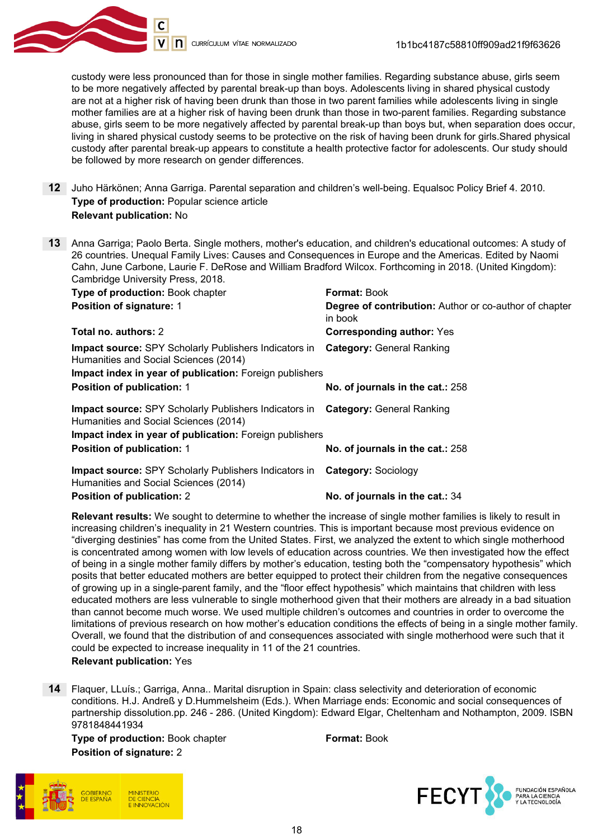

custody were less pronounced than for those in single mother families. Regarding substance abuse, girls seem to be more negatively affected by parental break-up than boys. Adolescents living in shared physical custody are not at a higher risk of having been drunk than those in two parent families while adolescents living in single mother families are at a higher risk of having been drunk than those in two-parent families. Regarding substance abuse, girls seem to be more negatively affected by parental break-up than boys but, when separation does occur, living in shared physical custody seems to be protective on the risk of having been drunk for girls.Shared physical custody after parental break-up appears to constitute a health protective factor for adolescents. Our study should be followed by more research on gender differences.

- 12 Juho Härkönen; Anna Garriga. Parental separation and children's well-being. Equalsoc Policy Brief 4. 2010. Type of production: Popular science article Relevant publication: No
- 13 Anna Garriga; Paolo Berta. Single mothers, mother's education, and children's educational outcomes: A study of 26 countries. Unequal Family Lives: Causes and Consequences in Europe and the Americas. Edited by Naomi Cahn, June Carbone, Laurie F. DeRose and William Bradford Wilcox. Forthcoming in 2018. (United Kingdom): Cambridge University Press, 2018.

| Type of production: Book chapter                                                                                                       | <b>Format: Book</b>                                               |
|----------------------------------------------------------------------------------------------------------------------------------------|-------------------------------------------------------------------|
| <b>Position of signature: 1</b>                                                                                                        | Degree of contribution: Author or co-author of chapter<br>in book |
| Total no. authors: 2                                                                                                                   | <b>Corresponding author: Yes</b>                                  |
| <b>Impact source:</b> SPY Scholarly Publishers Indicators in<br>Humanities and Social Sciences (2014)                                  | <b>Category: General Ranking</b>                                  |
| Impact index in year of publication: Foreign publishers                                                                                |                                                                   |
| <b>Position of publication: 1</b>                                                                                                      | No. of journals in the cat.: 258                                  |
| <b>Impact source:</b> SPY Scholarly Publishers Indicators in <b>Category:</b> General Ranking<br>Humanities and Social Sciences (2014) |                                                                   |
| Impact index in year of publication: Foreign publishers                                                                                |                                                                   |
| <b>Position of publication: 1</b>                                                                                                      | No. of journals in the cat.: 258                                  |
| <b>Impact source: SPY Scholarly Publishers Indicators in</b><br>Humanities and Social Sciences (2014)                                  | <b>Category: Sociology</b>                                        |
| <b>Position of publication: 2</b>                                                                                                      | No. of journals in the cat.: 34                                   |

Relevant results: We sought to determine to whether the increase of single mother families is likely to result in increasing children's inequality in 21 Western countries. This is important because most previous evidence on "diverging destinies" has come from the United States. First, we analyzed the extent to which single motherhood is concentrated among women with low levels of education across countries. We then investigated how the effect of being in a single mother family differs by mother's education, testing both the "compensatory hypothesis" which posits that better educated mothers are better equipped to protect their children from the negative consequences of growing up in a single-parent family, and the "floor effect hypothesis" which maintains that children with less educated mothers are less vulnerable to single motherhood given that their mothers are already in a bad situation than cannot become much worse. We used multiple children's outcomes and countries in order to overcome the limitations of previous research on how mother's education conditions the effects of being in a single mother family. Overall, we found that the distribution of and consequences associated with single motherhood were such that it could be expected to increase inequality in 11 of the 21 countries.

Relevant publication: Yes

14 Flaquer, LLuís.; Garriga, Anna.. Marital disruption in Spain: class selectivity and deterioration of economic conditions. H.J. Andreß y D.Hummelsheim (Eds.). When Marriage ends: Economic and social consequences of partnership dissolution.pp. 246 - 286. (United Kingdom): Edward Elgar, Cheltenham and Nothampton, 2009. ISBN 9781848441934

Type of production: Book chapter Format: Book Position of signature: 2

**DE CIENCIA ININIOVACIÓN** 

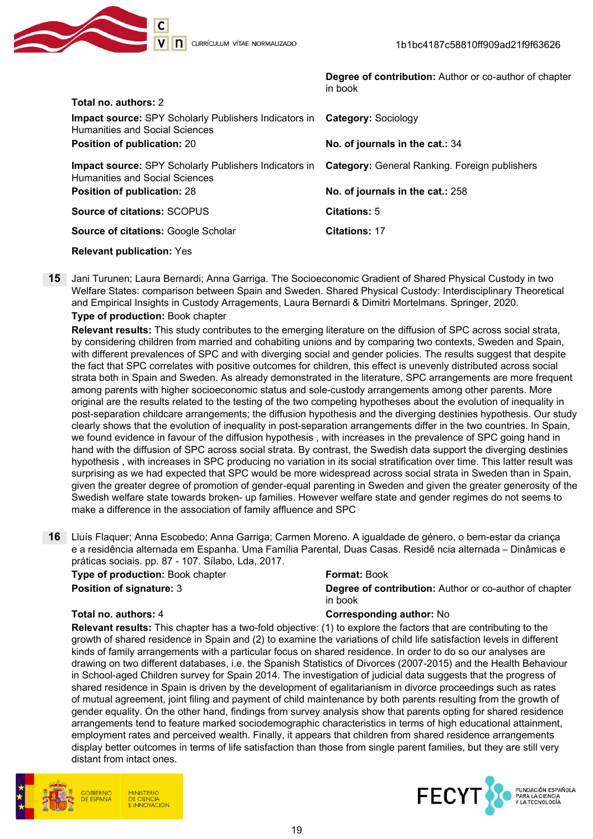

|                                                                                                                                                            | Degree of contribution: Author or co-author of chapter<br>in book |
|------------------------------------------------------------------------------------------------------------------------------------------------------------|-------------------------------------------------------------------|
| Total no. authors: 2                                                                                                                                       |                                                                   |
| Impact source: SPY Scholarly Publishers Indicators in Category: Sociology<br>Humanities and Social Sciences                                                |                                                                   |
| <b>Position of publication: 20</b>                                                                                                                         | No. of journals in the cat.: 34                                   |
| <b>Impact source:</b> SPY Scholarly Publishers Indicators in <b>Category:</b> General Ranking. Foreign publishers<br><b>Humanities and Social Sciences</b> |                                                                   |
| <b>Position of publication: 28</b>                                                                                                                         | No. of journals in the cat.: 258                                  |
| <b>Source of citations: SCOPUS</b>                                                                                                                         | Citations: 5                                                      |
| <b>Source of citations: Google Scholar</b>                                                                                                                 | <b>Citations: 17</b>                                              |
|                                                                                                                                                            |                                                                   |

Relevant publication: Yes

15 Jani Turunen; Laura Bernardi; Anna Garriga. The Socioeconomic Gradient of Shared Physical Custody in two Welfare States: comparison between Spain and Sweden. Shared Physical Custody: Interdisciplinary Theoretical and Empirical Insights in Custody Arragements, Laura Bernardi & Dimitri Mortelmans. Springer, 2020. Type of production: Book chapter

Relevant results: This study contributes to the emerging literature on the diffusion of SPC across social strata, by considering children from married and cohabiting unions and by comparing two contexts, Sweden and Spain, with different prevalences of SPC and with diverging social and gender policies. The results suggest that despite the fact that SPC correlates with positive outcomes for children, this effect is unevenly distributed across social strata both in Spain and Sweden. As already demonstrated in the literature, SPC arrangements are more frequent among parents with higher socioeconomic status and sole-custody arrangements among other parents. More original are the results related to the testing of the two competing hypotheses about the evolution of inequality in post-separation childcare arrangements; the diffusion hypothesis and the diverging destinies hypothesis. Our study clearly shows that the evolution of inequality in post-separation arrangements differ in the two countries. In Spain, we found evidence in favour of the diffusion hypothesis , with increases in the prevalence of SPC going hand in hand with the diffusion of SPC across social strata. By contrast, the Swedish data support the diverging destinies hypothesis , with increases in SPC producing no variation in its social stratification over time. This latter result was surprising as we had expected that SPC would be more widespread across social strata in Sweden than in Spain, given the greater degree of promotion of gender-equal parenting in Sweden and given the greater generosity of the Swedish welfare state towards broken- up families. However welfare state and gender regimes do not seems to make a difference in the association of family affluence and SPC

16 Lluís Flaquer; Anna Escobedo; Anna Garriga; Carmen Moreno. A igualdade de género, o bem-estar da criança e a residência alternada em Espanha. Uma Família Parental, Duas Casas. Residê ncia alternada – Dinâmicas e práticas sociais. pp. 87 - 107. Sílabo, Lda, 2017.

| <b>Type of production: Book chapter</b> | <b>Format: Book</b>                                                      |
|-----------------------------------------|--------------------------------------------------------------------------|
| <b>Position of signature: 3</b>         | <b>Degree of contribution:</b> Author or co-author of chapter<br>in book |
|                                         |                                                                          |

#### Total no. authors: 4 Corresponding author: No

Relevant results: This chapter has a two-fold objective: (1) to explore the factors that are contributing to the growth of shared residence in Spain and (2) to examine the variations of child life satisfaction levels in different kinds of family arrangements with a particular focus on shared residence. In order to do so our analyses are drawing on two different databases, i.e. the Spanish Statistics of Divorces (2007-2015) and the Health Behaviour in School-aged Children survey for Spain 2014. The investigation of judicial data suggests that the progress of shared residence in Spain is driven by the development of egalitarianism in divorce proceedings such as rates of mutual agreement, joint filing and payment of child maintenance by both parents resulting from the growth of gender equality. On the other hand, findings from survey analysis show that parents opting for shared residence arrangements tend to feature marked sociodemographic characteristics in terms of high educational attainment, employment rates and perceived wealth. Finally, it appears that children from shared residence arrangements display better outcomes in terms of life satisfaction than those from single parent families, but they are still very distant from intact ones.



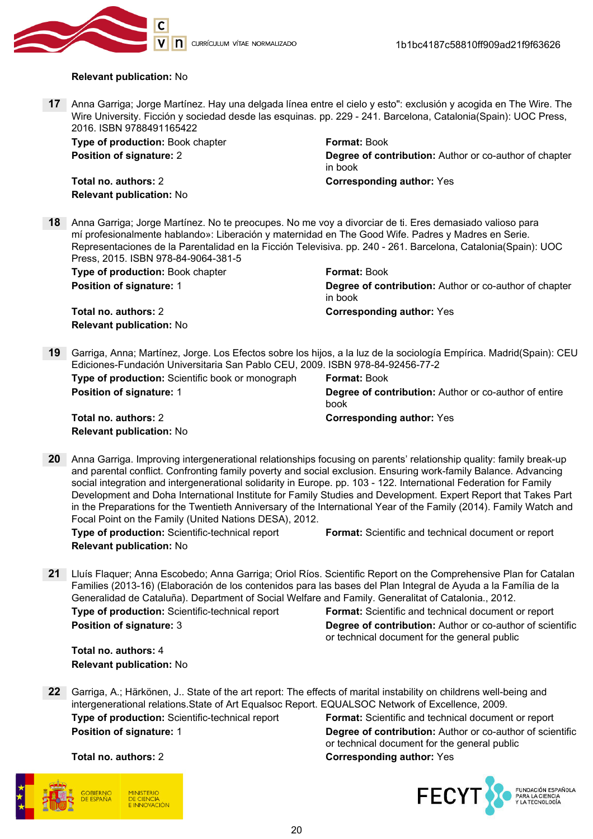

#### Relevant publication: No

17 Anna Garriga; Jorge Martínez. Hay una delgada línea entre el cielo y esto": exclusión y acogida en The Wire. The Wire University. Ficción y sociedad desde las esquinas, pp. 229 - 241. Barcelona, Catalonia(Spain): UOC Press, 2016. ISBN 9788491165422

**Type of production:** Book chapter **Format: Book** Format: Book

Total no. authors: 2 Corresponding author: Yes Relevant publication: No

**Position of signature: 2 Contribution: Author of co-author of chapter Degree of contribution:** Author or co-author of chapter in book

18 Anna Garriga; Jorge Martínez. No te preocupes. No me voy a divorciar de ti. Eres demasiado valioso para mí profesionalmente hablando»: Liberación y maternidad en The Good Wife. Padres y Madres en Serie. Representaciones de la Parentalidad en la Ficción Televisiva. pp. 240 - 261. Barcelona, Catalonia(Spain): UOC Press, 2015. ISBN 978-84-9064-381-5

| <b>Type of production:</b> Book chapter | <b>Format: Book</b>                                                      |
|-----------------------------------------|--------------------------------------------------------------------------|
| <b>Position of signature: 1</b>         | <b>Degree of contribution:</b> Author or co-author of chapter<br>in book |
| Total no. authors: 2                    | <b>Corresponding author: Yes</b>                                         |
| <b>Relevant publication: No</b>         |                                                                          |

19 Garriga, Anna; Martínez, Jorge. Los Efectos sobre los hijos, a la luz de la sociología Empírica. Madrid(Spain): CEU Ediciones-Fundación Universitaria San Pablo CEU, 2009. ISBN 978-84-92456-77-2

Type of production: Scientific book or monograph Format: Book **Position of signature: 1 Degree of contribution:** Author or co-author of entire book Total no. authors: 2 Corresponding author: Yes Relevant publication: No

20 Anna Garriga. Improving intergenerational relationships focusing on parents' relationship quality: family break-up and parental conflict. Confronting family poverty and social exclusion. Ensuring work-family Balance. Advancing social integration and intergenerational solidarity in Europe. pp. 103 - 122. International Federation for Family Development and Doha International Institute for Family Studies and Development. Expert Report that Takes Part in the Preparations for the Twentieth Anniversary of the International Year of the Family (2014). Family Watch and Focal Point on the Family (United Nations DESA), 2012.

Relevant publication: No

Type of production: Scientific-technical report Format: Scientific and technical document or report

21 Lluís Flaquer; Anna Escobedo; Anna Garriga; Oriol Ríos. Scientific Report on the Comprehensive Plan for Catalan Families (2013-16) (Elaboración de los contenidos para las bases del Plan Integral de Ayuda a la Família de la Generalidad de Cataluña). Department of Social Welfare and Family. Generalitat of Catalonia., 2012.

Type of production: Scientific-technical report Format: Scientific and technical document or report **Position of signature: 3** Degree of contribution: Author or co-author of scientific or technical document for the general public

Total no. authors: 4 Relevant publication: No

22 Garriga, A.; Härkönen, J.. State of the art report: The effects of marital instability on childrens well-being and intergenerational relations.State of Art Equalsoc Report. EQUALSOC Network of Excellence, 2009.

Type of production: Scientific-technical report Format: Scientific and technical document or report **Position of signature: 1 Degree of contribution:** Author or co-author of scientific or technical document for the general public Total no. authors: 2 Corresponding author: Yes



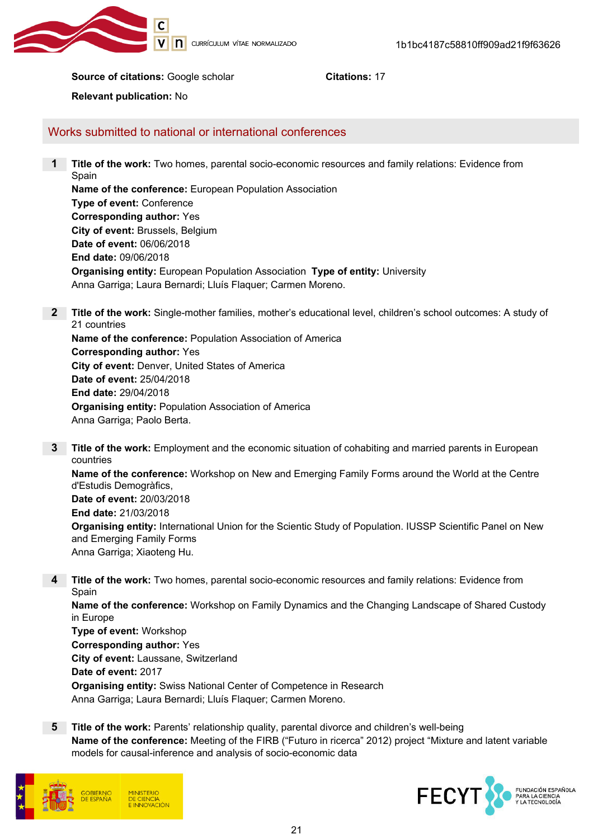

Source of citations: Google scholar Citations: 17

Relevant publication: No

Works submitted to national or international conferences

1 Title of the work: Two homes, parental socio-economic resources and family relations: Evidence from Spain Name of the conference: European Population Association

Type of event: Conference Corresponding author: Yes City of event: Brussels, Belgium Date of event: 06/06/2018 End date: 09/06/2018 Organising entity: European Population Association Type of entity: University Anna Garriga; Laura Bernardi; Lluís Flaquer; Carmen Moreno.

- 2 Title of the work: Single-mother families, mother's educational level, children's school outcomes: A study of 21 countries Name of the conference: Population Association of America Corresponding author: Yes City of event: Denver, United States of America Date of event: 25/04/2018 End date: 29/04/2018 Organising entity: Population Association of America Anna Garriga; Paolo Berta.
- **3** Title of the work: Employment and the economic situation of cohabiting and married parents in European countries Name of the conference: Workshop on New and Emerging Family Forms around the World at the Centre d'Estudis Demogràfics, Date of event: 20/03/2018 End date: 21/03/2018 Organising entity: International Union for the Scientic Study of Population. IUSSP Scientific Panel on New and Emerging Family Forms Anna Garriga; Xiaoteng Hu.
- 4 Title of the work: Two homes, parental socio-economic resources and family relations: Evidence from Spain

Name of the conference: Workshop on Family Dynamics and the Changing Landscape of Shared Custody in Europe

Type of event: Workshop Corresponding author: Yes City of event: Laussane, Switzerland Date of event: 2017 Organising entity: Swiss National Center of Competence in Research Anna Garriga; Laura Bernardi; Lluís Flaquer; Carmen Moreno.

5 Title of the work: Parents' relationship quality, parental divorce and children's well-being Name of the conference: Meeting of the FIRB ("Futuro in ricerca" 2012) project "Mixture and latent variable models for causal-inference and analysis of socio-economic data



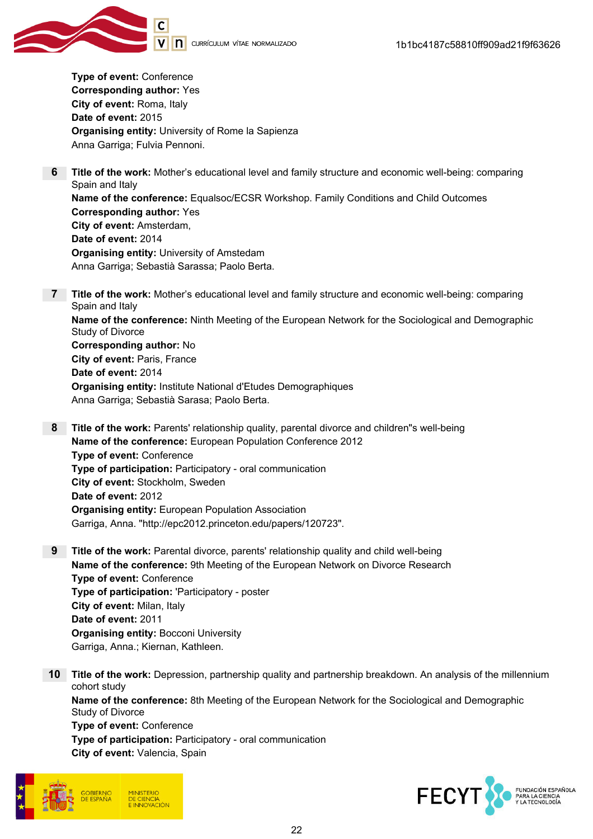

Type of event: Conference Corresponding author: Yes City of event: Roma, Italy Date of event: 2015 Organising entity: University of Rome la Sapienza Anna Garriga; Fulvia Pennoni.

- 6 Title of the work: Mother's educational level and family structure and economic well-being: comparing Spain and Italy Name of the conference: Equalsoc/ECSR Workshop. Family Conditions and Child Outcomes Corresponding author: Yes City of event: Amsterdam, Date of event: 2014 Organising entity: University of Amstedam Anna Garriga; Sebastià Sarassa; Paolo Berta.
- **7** Title of the work: Mother's educational level and family structure and economic well-being: comparing Spain and Italy Name of the conference: Ninth Meeting of the European Network for the Sociological and Demographic Study of Divorce Corresponding author: No City of event: Paris, France Date of event: 2014 Organising entity: Institute National d'Etudes Demographiques Anna Garriga; Sebastià Sarasa; Paolo Berta.
- 8 Title of the work: Parents' relationship quality, parental divorce and children"s well-being Name of the conference: European Population Conference 2012 Type of event: Conference Type of participation: Participatory - oral communication City of event: Stockholm, Sweden Date of event: 2012 Organising entity: European Population Association Garriga, Anna. "http://epc2012.princeton.edu/papers/120723".
- 9 Title of the work: Parental divorce, parents' relationship quality and child well-being Name of the conference: 9th Meeting of the European Network on Divorce Research Type of event: Conference Type of participation: 'Participatory - poster City of event: Milan, Italy Date of event: 2011 Organising entity: Bocconi University Garriga, Anna.; Kiernan, Kathleen.
- 10 Title of the work: Depression, partnership quality and partnership breakdown. An analysis of the millennium cohort study Name of the conference: 8th Meeting of the European Network for the Sociological and Demographic Study of Divorce Type of event: Conference Type of participation: Participatory - oral communication City of event: Valencia, Spain



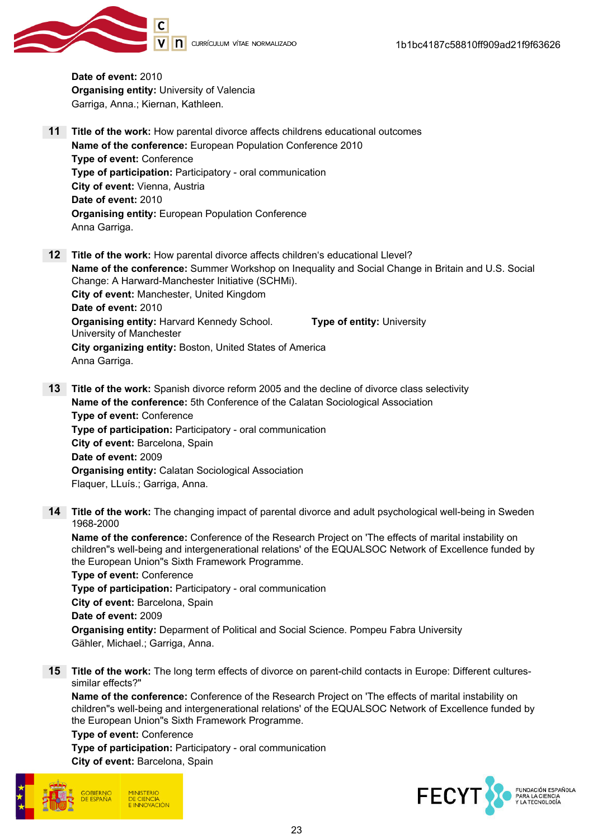



Date of event: 2010 Organising entity: University of Valencia Garriga, Anna.; Kiernan, Kathleen.

- 11 Title of the work: How parental divorce affects childrens educational outcomes Name of the conference: European Population Conference 2010 Type of event: Conference Type of participation: Participatory - oral communication City of event: Vienna, Austria Date of event: 2010 Organising entity: European Population Conference Anna Garriga.
- 12 Title of the work: How parental divorce affects children's educational Llevel? Name of the conference: Summer Workshop on Inequality and Social Change in Britain and U.S. Social Change: A Harward-Manchester Initiative (SCHMi). City of event: Manchester, United Kingdom Date of event: 2010 Organising entity: Harvard Kennedy School. University of Manchester Type of entity: University City organizing entity: Boston, United States of America Anna Garriga.
- 13 Title of the work: Spanish divorce reform 2005 and the decline of divorce class selectivity Name of the conference: 5th Conference of the Calatan Sociological Association Type of event: Conference Type of participation: Participatory - oral communication City of event: Barcelona, Spain Date of event: 2009 Organising entity: Calatan Sociological Association Flaquer, LLuís.; Garriga, Anna.
- 14 Title of the work: The changing impact of parental divorce and adult psychological well-being in Sweden 1968-2000

Name of the conference: Conference of the Research Project on 'The effects of marital instability on children"s well-being and intergenerational relations' of the EQUALSOC Network of Excellence funded by the European Union"s Sixth Framework Programme.

Type of event: Conference Type of participation: Participatory - oral communication City of event: Barcelona, Spain Date of event: 2009 Organising entity: Deparment of Political and Social Science. Pompeu Fabra University Gähler, Michael.; Garriga, Anna.

15 Title of the work: The long term effects of divorce on parent-child contacts in Europe: Different culturessimilar effects?"

Name of the conference: Conference of the Research Project on 'The effects of marital instability on children"s well-being and intergenerational relations' of the EQUALSOC Network of Excellence funded by the European Union"s Sixth Framework Programme.

Type of event: Conference

Type of participation: Participatory - oral communication City of event: Barcelona, Spain



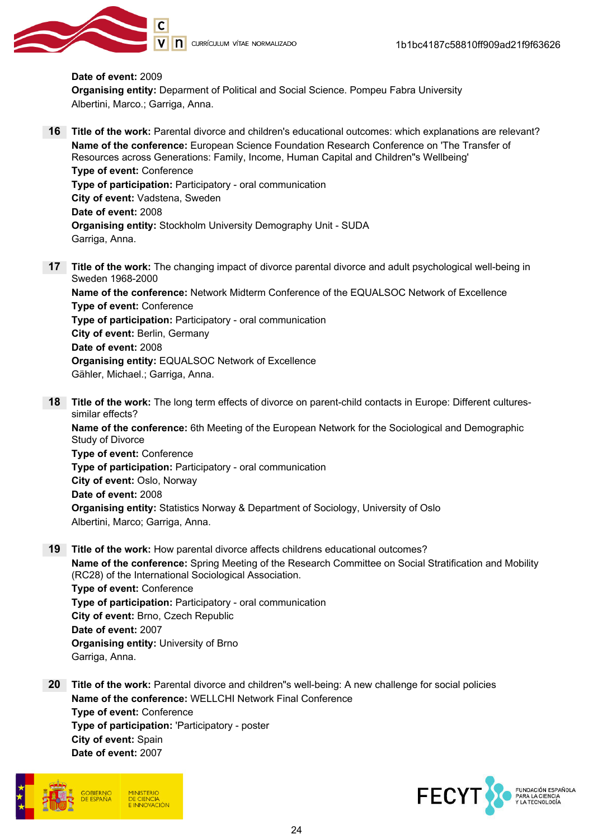

#### Date of event: 2009 Organising entity: Deparment of Political and Social Science. Pompeu Fabra University Albertini, Marco.; Garriga, Anna.

- 16 Title of the work: Parental divorce and children's educational outcomes: which explanations are relevant? Name of the conference: European Science Foundation Research Conference on 'The Transfer of Resources across Generations: Family, Income, Human Capital and Children"s Wellbeing' Type of event: Conference Type of participation: Participatory - oral communication City of event: Vadstena, Sweden Date of event: 2008 Organising entity: Stockholm University Demography Unit - SUDA Garriga, Anna.
- 17 Title of the work: The changing impact of divorce parental divorce and adult psychological well-being in Sweden 1968-2000

Name of the conference: Network Midterm Conference of the EQUALSOC Network of Excellence Type of event: Conference Type of participation: Participatory - oral communication City of event: Berlin, Germany Date of event: 2008 Organising entity: EQUALSOC Network of Excellence Gähler, Michael.; Garriga, Anna.

18 Title of the work: The long term effects of divorce on parent-child contacts in Europe: Different culturessimilar effects?

Name of the conference: 6th Meeting of the European Network for the Sociological and Demographic Study of Divorce

Type of event: Conference Type of participation: Participatory - oral communication City of event: Oslo, Norway Date of event: 2008 Organising entity: Statistics Norway & Department of Sociology, University of Oslo Albertini, Marco; Garriga, Anna.

19 Title of the work: How parental divorce affects childrens educational outcomes?

Name of the conference: Spring Meeting of the Research Committee on Social Stratification and Mobility (RC28) of the International Sociological Association. Type of event: Conference Type of participation: Participatory - oral communication City of event: Brno, Czech Republic Date of event: 2007 Organising entity: University of Brno Garriga, Anna.

20 Title of the work: Parental divorce and children"s well-being: A new challenge for social policies Name of the conference: WELLCHI Network Final Conference Type of event: Conference Type of participation: 'Participatory - poster City of event: Spain Date of event: 2007



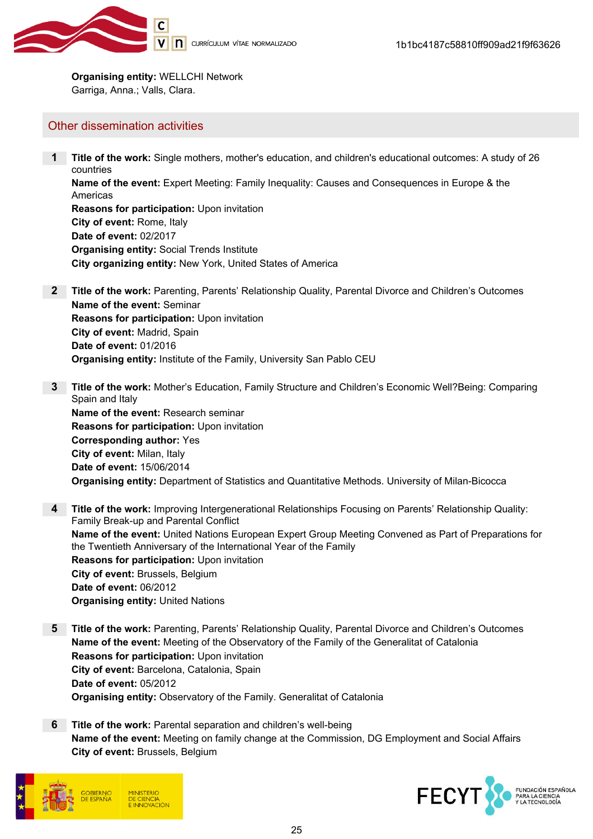

Organising entity: WELLCHI Network Garriga, Anna.; Valls, Clara.

#### Other dissemination activities

1 Title of the work: Single mothers, mother's education, and children's educational outcomes: A study of 26 countries Name of the event: Expert Meeting: Family Inequality: Causes and Consequences in Europe & the Americas Reasons for participation: Upon invitation City of event: Rome, Italy Date of event: 02/2017 Organising entity: Social Trends Institute City organizing entity: New York, United States of America

- 2 Title of the work: Parenting, Parents' Relationship Quality, Parental Divorce and Children's Outcomes Name of the event: Seminar Reasons for participation: Upon invitation City of event: Madrid, Spain Date of event: 01/2016 Organising entity: Institute of the Family, University San Pablo CEU
- 3 Title of the work: Mother's Education, Family Structure and Children's Economic Well?Being: Comparing Spain and Italy Name of the event: Research seminar Reasons for participation: Upon invitation Corresponding author: Yes City of event: Milan, Italy Date of event: 15/06/2014 Organising entity: Department of Statistics and Quantitative Methods. University of Milan-Bicocca
- 4 Title of the work: Improving Intergenerational Relationships Focusing on Parents' Relationship Quality: Family Break-up and Parental Conflict Name of the event: United Nations European Expert Group Meeting Convened as Part of Preparations for the Twentieth Anniversary of the International Year of the Family Reasons for participation: Upon invitation City of event: Brussels, Belgium Date of event: 06/2012 Organising entity: United Nations
- 5 Title of the work: Parenting, Parents' Relationship Quality, Parental Divorce and Children's Outcomes Name of the event: Meeting of the Observatory of the Family of the Generalitat of Catalonia Reasons for participation: Upon invitation City of event: Barcelona, Catalonia, Spain Date of event: 05/2012 Organising entity: Observatory of the Family. Generalitat of Catalonia
- 6 Title of the work: Parental separation and children's well-being Name of the event: Meeting on family change at the Commission, DG Employment and Social Affairs City of event: Brussels, Belgium



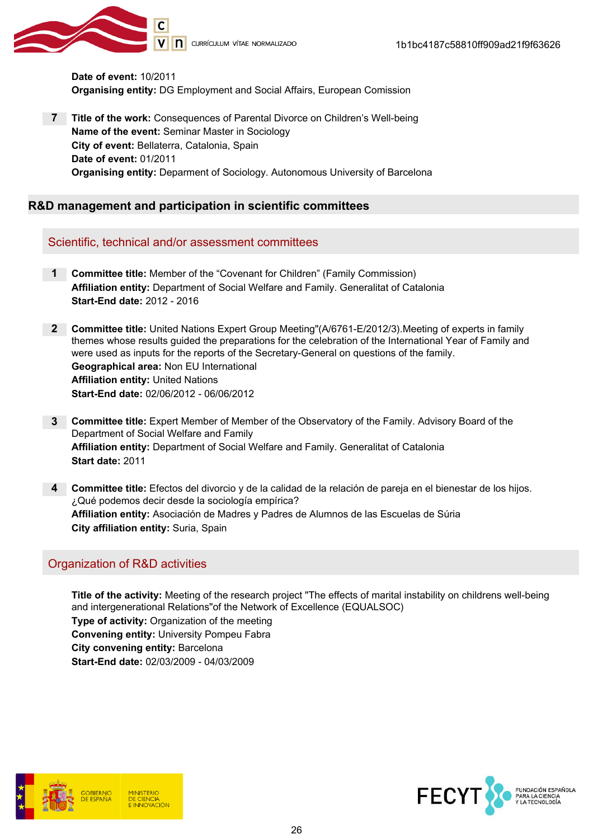

Date of event: 10/2011 Organising entity: DG Employment and Social Affairs, European Comission

7 Title of the work: Consequences of Parental Divorce on Children's Well-being Name of the event: Seminar Master in Sociology City of event: Bellaterra, Catalonia, Spain Date of event: 01/2011 Organising entity: Deparment of Sociology. Autonomous University of Barcelona

#### R&D management and participation in scientific committees

Scientific, technical and/or assessment committees

1 Committee title: Member of the "Covenant for Children" (Family Commission) Affiliation entity: Department of Social Welfare and Family. Generalitat of Catalonia Start-End date: 2012 - 2016

2 Committee title: United Nations Expert Group Meeting"(A/6761-E/2012/3). Meeting of experts in family themes whose results guided the preparations for the celebration of the International Year of Family and were used as inputs for the reports of the Secretary-General on questions of the family. Geographical area: Non EU International Affiliation entity: United Nations Start-End date: 02/06/2012 - 06/06/2012

- 3 Committee title: Expert Member of Member of the Observatory of the Family. Advisory Board of the Department of Social Welfare and Family Affiliation entity: Department of Social Welfare and Family. Generalitat of Catalonia Start date: 2011
- 4 Committee title: Efectos del divorcio y de la calidad de la relación de pareja en el bienestar de los hijos. ¿Qué podemos decir desde la sociología empírica? Affiliation entity: Asociación de Madres y Padres de Alumnos de las Escuelas de Súria City affiliation entity: Suria, Spain

## Organization of R&D activities

Title of the activity: Meeting of the research project "The effects of marital instability on childrens well-being and intergenerational Relations"of the Network of Excellence (EQUALSOC) Type of activity: Organization of the meeting Convening entity: University Pompeu Fabra City convening entity: Barcelona Start-End date: 02/03/2009 - 04/03/2009



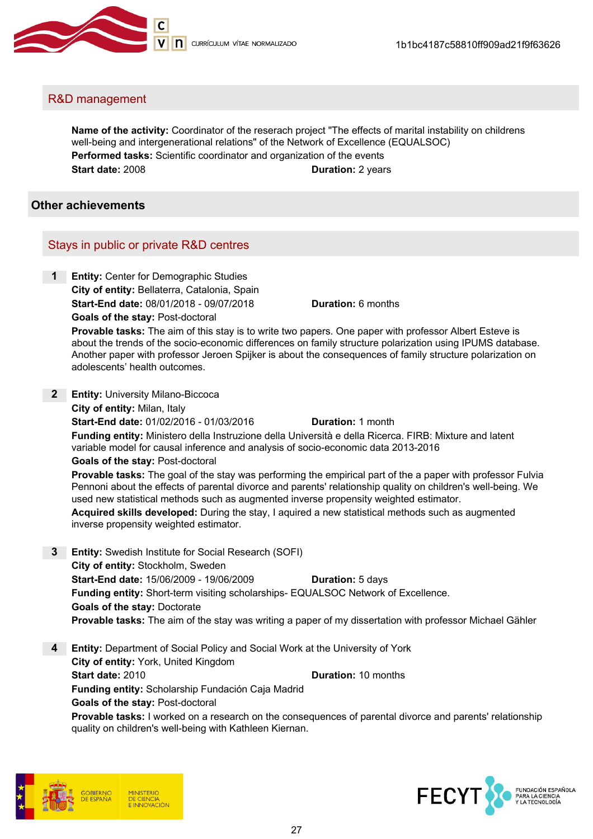

#### R&D management

Name of the activity: Coordinator of the reserach project "The effects of marital instability on childrens well-being and intergenerational relations" of the Network of Excellence (EQUALSOC) Performed tasks: Scientific coordinator and organization of the events Start date: 2008 **Duration: 2 years** 

#### Other achievements

#### Stays in public or private R&D centres

1 Entity: Center for Demographic Studies City of entity: Bellaterra, Catalonia, Spain **Start-End date: 08/01/2018 - 09/07/2018 Duration: 6 months** Goals of the stay: Post-doctoral

Provable tasks: The aim of this stay is to write two papers. One paper with professor Albert Esteve is about the trends of the socio-economic differences on family structure polarization using IPUMS database. Another paper with professor Jeroen Spijker is about the consequences of family structure polarization on adolescents' health outcomes.

2 **Entity: University Milano-Biccoca** City of entity: Milan, Italy

**Start-End date: 01/02/2016 - 01/03/2016** Duration: 1 month

Funding entity: Ministero della Instruzione della Università e della Ricerca. FIRB: Mixture and latent variable model for causal inference and analysis of socio-economic data 2013-2016

Goals of the stay: Post-doctoral

Provable tasks: The goal of the stay was performing the empirical part of the a paper with professor Fulvia Pennoni about the effects of parental divorce and parents' relationship quality on children's well-being. We used new statistical methods such as augmented inverse propensity weighted estimator.

Acquired skills developed: During the stay, I aquired a new statistical methods such as augmented inverse propensity weighted estimator.

- 3 Entity: Swedish Institute for Social Research (SOFI) City of entity: Stockholm, Sweden Start-End date: 15/06/2009 - 19/06/2009 Duration: 5 days Funding entity: Short-term visiting scholarships- EQUALSOC Network of Excellence. Goals of the stay: Doctorate Provable tasks: The aim of the stay was writing a paper of my dissertation with professor Michael Gähler
- 4 Entity: Department of Social Policy and Social Work at the University of York City of entity: York, United Kingdom Start date: 2010 Channels Communication: 10 months Funding entity: Scholarship Fundación Caja Madrid Goals of the stay: Post-doctoral Provable tasks: I worked on a research on the consequences of parental divorce and parents' relationship

quality on children's well-being with Kathleen Kiernan.



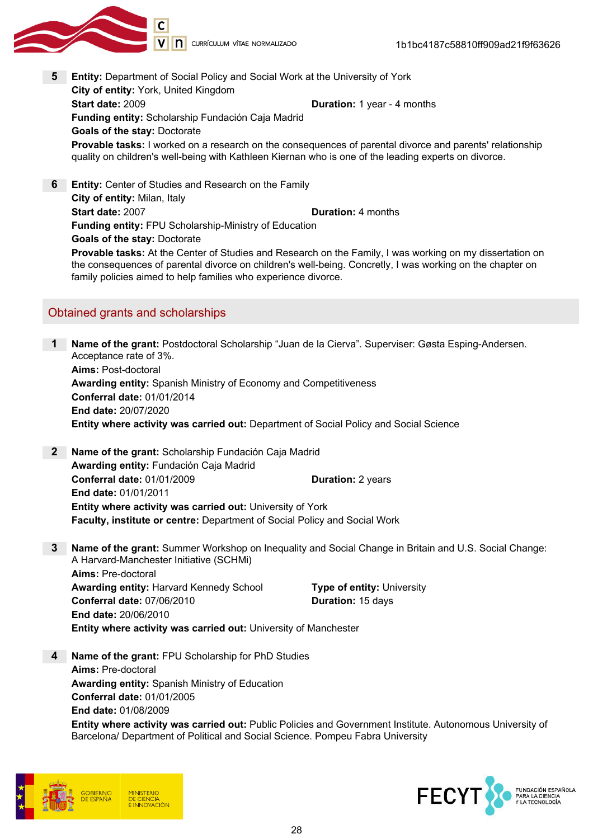

- 5 Entity: Department of Social Policy and Social Work at the University of York City of entity: York, United Kingdom Start date: 2009 Duration: 1 year - 4 months Funding entity: Scholarship Fundación Caja Madrid Goals of the stay: Doctorate Provable tasks: I worked on a research on the consequences of parental divorce and parents' relationship quality on children's well-being with Kathleen Kiernan who is one of the leading experts on divorce.
- **6** Entity: Center of Studies and Research on the Family City of entity: Milan, Italy Start date: 2007 Channels Controller Material Duration: 4 months Funding entity: FPU Scholarship-Ministry of Education Goals of the stay: Doctorate Provable tasks: At the Center of Studies and Research on the Family, I was working on my dissertation on the consequences of parental divorce on children's well-being. Concretly, I was working on the chapter on family policies aimed to help families who experience divorce.

#### Obtained grants and scholarships

Name of the grant: Postdoctoral Scholarship "Juan de la Cierva". Superviser: Gøsta Esping-Andersen. Acceptance rate of 3%. Aims: Post-doctoral Awarding entity: Spanish Ministry of Economy and Competitiveness Conferral date: 01/01/2014 End date: 20/07/2020 Entity where activity was carried out: Department of Social Policy and Social Science

2 Name of the grant: Scholarship Fundación Caja Madrid Awarding entity: Fundación Caja Madrid Conferral date: 01/01/2009 Duration: 2 years End date: 01/01/2011 Entity where activity was carried out: University of York Faculty, institute or centre: Department of Social Policy and Social Work

3 Name of the grant: Summer Workshop on Inequality and Social Change in Britain and U.S. Social Change: A Harvard-Manchester Initiative (SCHMi) Aims: Pre-doctoral

Awarding entity: Harvard Kennedy School Type of entity: University Conferral date: 07/06/2010 Duration: 15 days End date: 20/06/2010 Entity where activity was carried out: University of Manchester

4 Name of the grant: FPU Scholarship for PhD Studies Aims: Pre-doctoral Awarding entity: Spanish Ministry of Education Conferral date: 01/01/2005 End date: 01/08/2009 Entity where activity was carried out: Public Policies and Government Institute. Autonomous University of Barcelona/ Department of Political and Social Science. Pompeu Fabra University



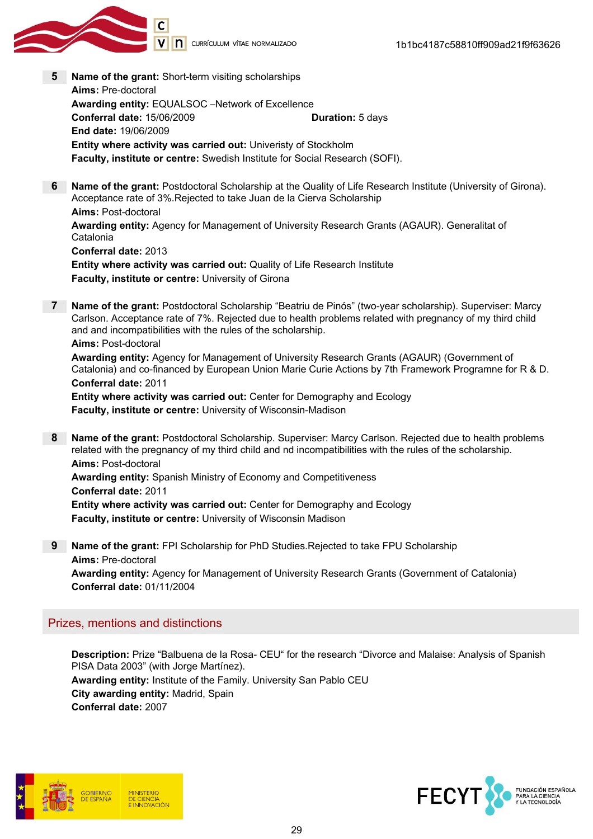

- 5 Name of the grant: Short-term visiting scholarships Aims: Pre-doctoral Awarding entity: EQUALSOC –Network of Excellence Conferral date: 15/06/2009 Duration: 5 days End date: 19/06/2009 Entity where activity was carried out: Univeristy of Stockholm Faculty, institute or centre: Swedish Institute for Social Research (SOFI).
- 6 Name of the grant: Postdoctoral Scholarship at the Quality of Life Research Institute (University of Girona). Acceptance rate of 3%.Rejected to take Juan de la Cierva Scholarship Aims: Post-doctoral Awarding entity: Agency for Management of University Research Grants (AGAUR). Generalitat of Catalonia Conferral date: 2013 Entity where activity was carried out: Quality of Life Research Institute Faculty, institute or centre: University of Girona
- 7 Name of the grant: Postdoctoral Scholarship "Beatriu de Pinós" (two-year scholarship). Superviser: Marcy Carlson. Acceptance rate of 7%. Rejected due to health problems related with pregnancy of my third child and and incompatibilities with the rules of the scholarship. Aims: Post-doctoral

Awarding entity: Agency for Management of University Research Grants (AGAUR) (Government of Catalonia) and co-financed by European Union Marie Curie Actions by 7th Framework Programne for R & D. Conferral date: 2011

Entity where activity was carried out: Center for Demography and Ecology Faculty, institute or centre: University of Wisconsin-Madison

8 Name of the grant: Postdoctoral Scholarship. Superviser: Marcy Carlson. Rejected due to health problems related with the pregnancy of my third child and nd incompatibilities with the rules of the scholarship. Aims: Post-doctoral Awarding entity: Spanish Ministry of Economy and Competitiveness

Conferral date: 2011 Entity where activity was carried out: Center for Demography and Ecology Faculty, institute or centre: University of Wisconsin Madison

9 Name of the grant: FPI Scholarship for PhD Studies.Rejected to take FPU Scholarship Aims: Pre-doctoral Awarding entity: Agency for Management of University Research Grants (Government of Catalonia) Conferral date: 01/11/2004

#### Prizes, mentions and distinctions

Description: Prize "Balbuena de la Rosa- CEU" for the research "Divorce and Malaise: Analysis of Spanish PISA Data 2003" (with Jorge Martínez). Awarding entity: Institute of the Family. University San Pablo CEU City awarding entity: Madrid, Spain Conferral date: 2007